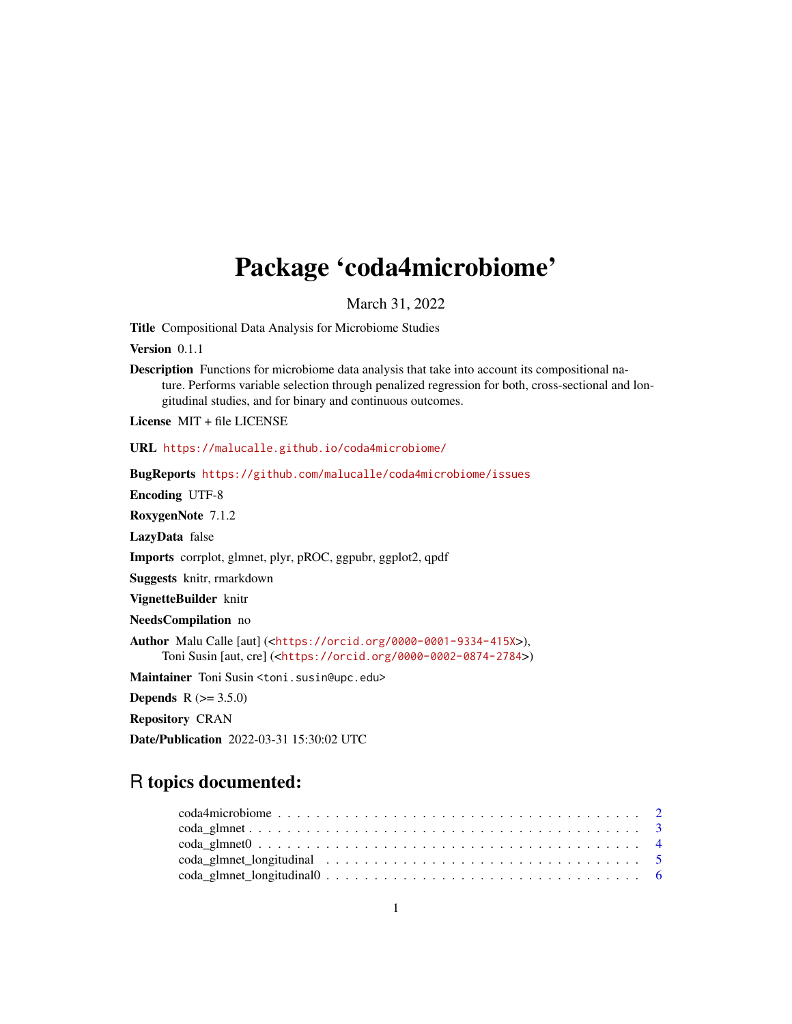# Package 'coda4microbiome'

March 31, 2022

Title Compositional Data Analysis for Microbiome Studies

Version 0.1.1

Description Functions for microbiome data analysis that take into account its compositional nature. Performs variable selection through penalized regression for both, cross-sectional and longitudinal studies, and for binary and continuous outcomes.

License MIT + file LICENSE

URL <https://malucalle.github.io/coda4microbiome/>

BugReports <https://github.com/malucalle/coda4microbiome/issues>

Encoding UTF-8

RoxygenNote 7.1.2

LazyData false

Imports corrplot, glmnet, plyr, pROC, ggpubr, ggplot2, qpdf

Suggests knitr, rmarkdown

VignetteBuilder knitr

NeedsCompilation no

Author Malu Calle [aut] (<<https://orcid.org/0000-0001-9334-415X>>), Toni Susin [aut, cre] (<<https://orcid.org/0000-0002-0874-2784>>)

Maintainer Toni Susin <toni.susin@upc.edu>

**Depends** R  $(>= 3.5.0)$ 

Repository CRAN

Date/Publication 2022-03-31 15:30:02 UTC

# R topics documented:

| $\text{coda\_glmnet0} \dots \dots \dots \dots \dots \dots \dots \dots \dots \dots \dots \dots \dots \dots \dots$ |  |
|------------------------------------------------------------------------------------------------------------------|--|
|                                                                                                                  |  |
|                                                                                                                  |  |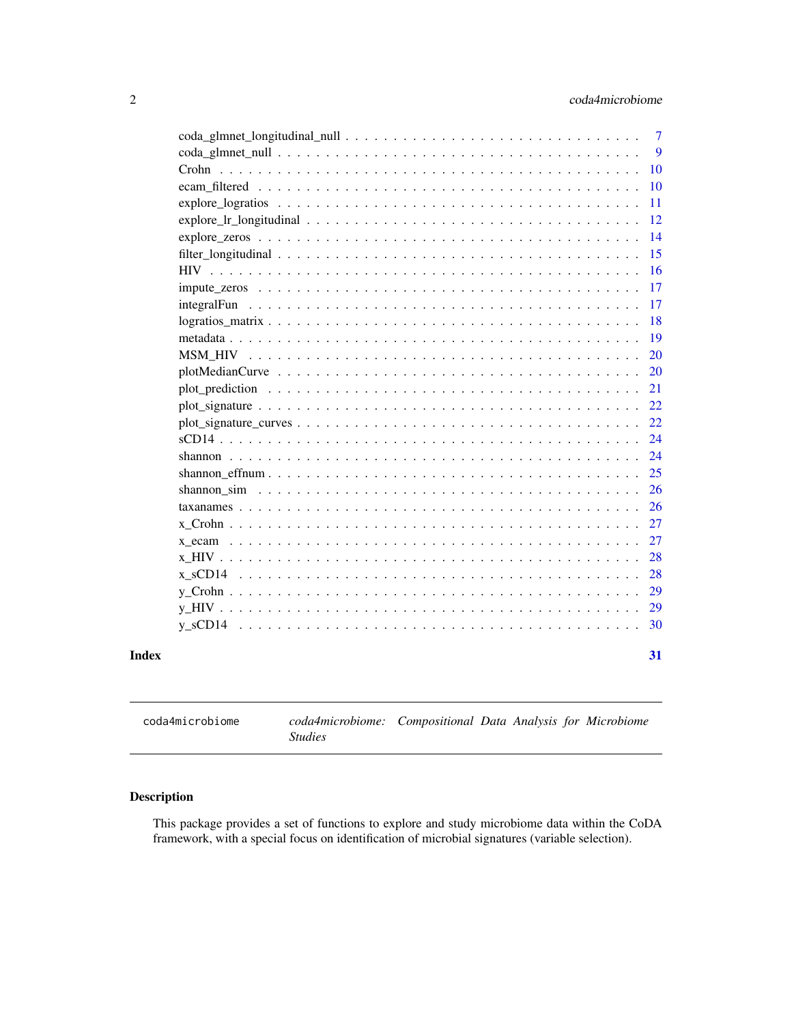<span id="page-1-0"></span>

| 10 |
|----|
| 10 |
| 11 |
| 12 |
| 14 |
| 15 |
| 16 |
| 17 |
| 17 |
| 18 |
| 19 |
| 20 |
| 20 |
| 21 |
| 22 |
| 22 |
| 24 |
| 24 |
| 25 |
| 26 |
| 26 |
| 27 |
| 27 |
| 28 |
| 28 |
| 29 |
| 29 |
| 30 |
| 31 |

coda4microbiome *coda4microbiome: Compositional Data Analysis for Microbiome Studies*

# Description

This package provides a set of functions to explore and study microbiome data within the CoDA framework, with a special focus on identification of microbial signatures (variable selection).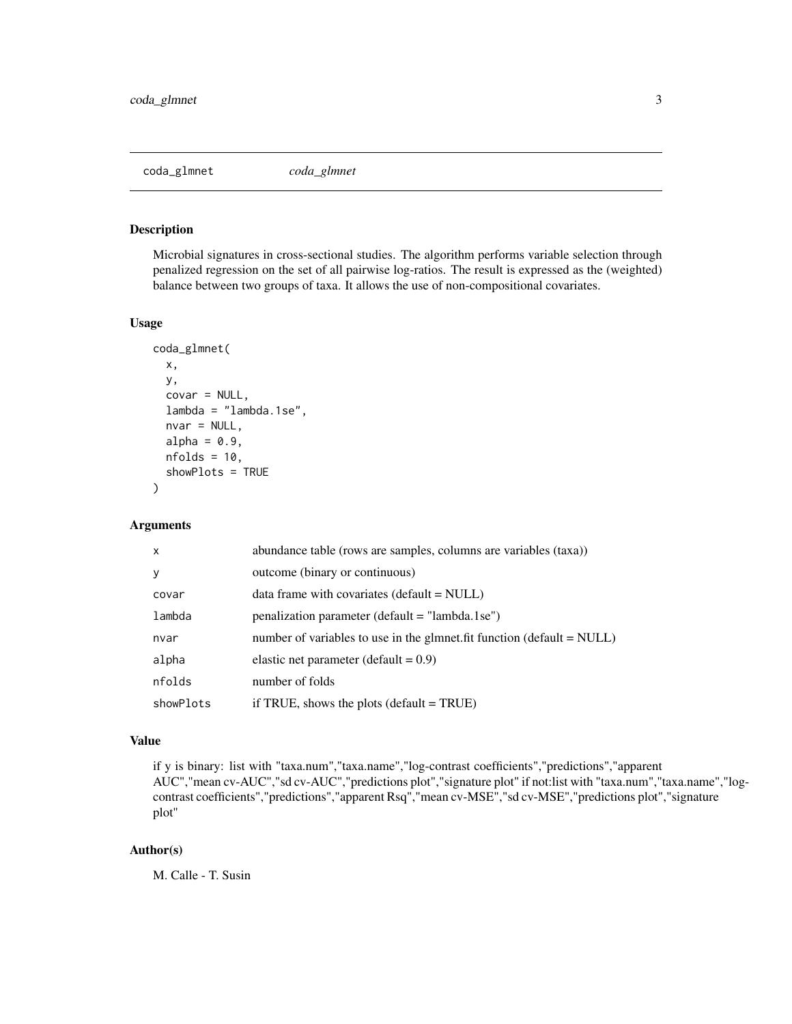<span id="page-2-0"></span>

#### Description

Microbial signatures in cross-sectional studies. The algorithm performs variable selection through penalized regression on the set of all pairwise log-ratios. The result is expressed as the (weighted) balance between two groups of taxa. It allows the use of non-compositional covariates.

#### Usage

```
coda_glmnet(
  x,
  y,
  covar = NULL,
  lambda = "lambda.1se",
  nvar = NULL,alpha = 0.9,
 nfolds = 10,
  showPlots = TRUE
)
```
# Arguments

| X         | abundance table (rows are samples, columns are variables (taxa))           |
|-----------|----------------------------------------------------------------------------|
| y         | outcome (binary or continuous)                                             |
| covar     | $data frame with covariates (default = NULL)$                              |
| lambda    | $penalization parameter (default = "lambda. 1 se")$                        |
| nvar      | number of variables to use in the glmnet. fit function (default $= NULL$ ) |
| alpha     | elastic net parameter (default = $0.9$ )                                   |
| nfolds    | number of folds                                                            |
| showPlots | if TRUE, shows the plots (default $=$ TRUE)                                |

#### Value

if y is binary: list with "taxa.num","taxa.name","log-contrast coefficients","predictions","apparent AUC","mean cv-AUC","sd cv-AUC","predictions plot","signature plot" if not:list with "taxa.num","taxa.name","logcontrast coefficients","predictions","apparent Rsq","mean cv-MSE","sd cv-MSE","predictions plot","signature plot"

#### Author(s)

M. Calle - T. Susin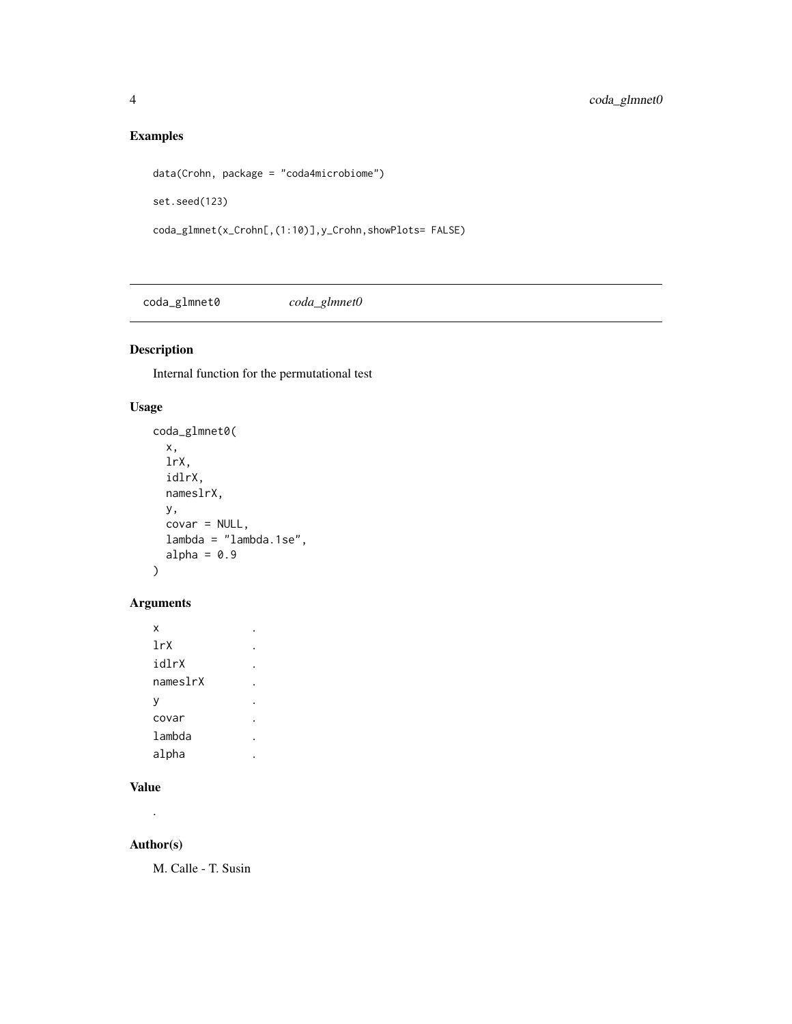# Examples

```
data(Crohn, package = "coda4microbiome")
set.seed(123)
coda_glmnet(x_Crohn[,(1:10)],y_Crohn,showPlots= FALSE)
```
coda\_glmnet0 *coda\_glmnet0*

# Description

Internal function for the permutational test

# Usage

```
coda_glmnet0(
  x,
  lrX,
  idlrX,
  nameslrX,
  y,
  covar = NULL,
  lambda = "lambda.1se",
  alpha = 0.9\mathcal{L}
```
# Arguments

| X        |  |
|----------|--|
| 1rX      |  |
| idlrX    |  |
| nameslrX |  |
| v        |  |
| covar    |  |
| lambda   |  |
| alpha    |  |

# Value

.

# Author(s)

M. Calle - T. Susin

<span id="page-3-0"></span>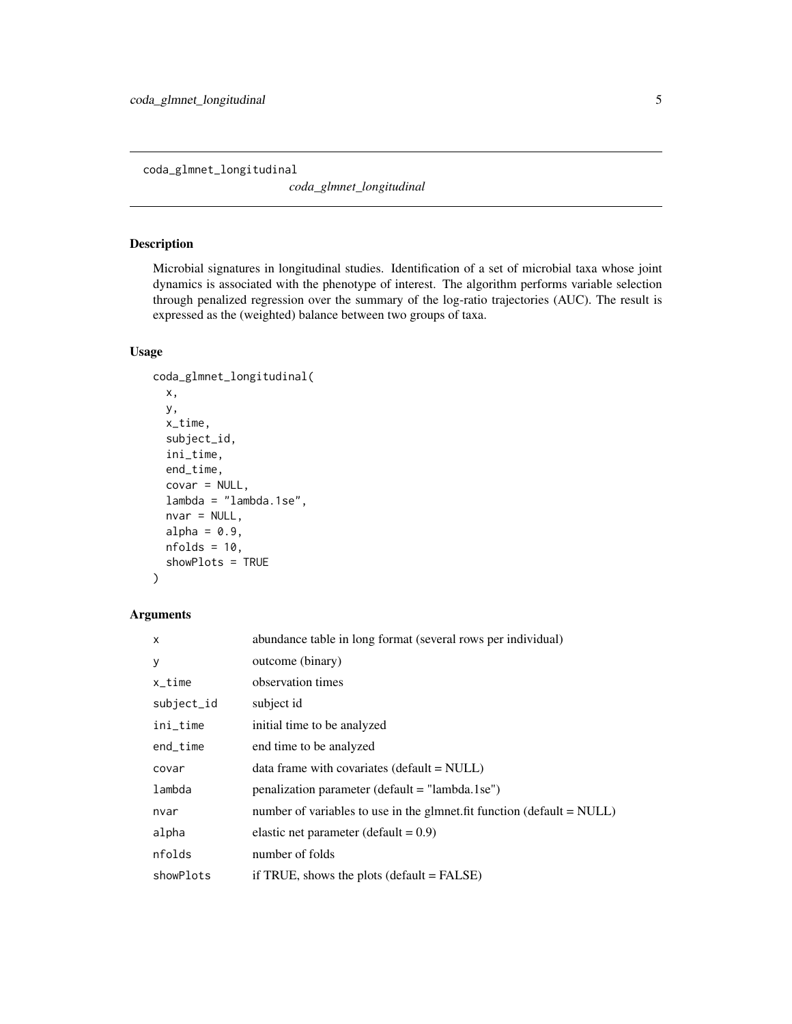<span id="page-4-0"></span>coda\_glmnet\_longitudinal

*coda\_glmnet\_longitudinal*

# Description

Microbial signatures in longitudinal studies. Identification of a set of microbial taxa whose joint dynamics is associated with the phenotype of interest. The algorithm performs variable selection through penalized regression over the summary of the log-ratio trajectories (AUC). The result is expressed as the (weighted) balance between two groups of taxa.

#### Usage

```
coda_glmnet_longitudinal(
  x,
 y,
  x_time,
  subject_id,
  ini_time,
  end_time,
  covar = NULL,
  lambda = "lambda.1se",
  nvar = NULL,alpha = 0.9,
  nfolds = 10,
  showPlots = TRUE
\mathcal{L}
```
# Arguments

| $\mathsf{x}$ | abundance table in long format (several rows per individual)               |
|--------------|----------------------------------------------------------------------------|
| y            | outcome (binary)                                                           |
| $x_t$ ime    | observation times                                                          |
| subject_id   | subject id                                                                 |
| ini_time     | initial time to be analyzed                                                |
| end_time     | end time to be analyzed                                                    |
| covar        | data frame with covariates (default = NULL)                                |
| lambda       | penalization parameter (default = "lambda.1se")                            |
| nvar         | number of variables to use in the glmnet. fit function (default $= NULL$ ) |
| alpha        | elastic net parameter (default = $0.9$ )                                   |
| nfolds       | number of folds                                                            |
| showPlots    | if TRUE, shows the plots (default $=$ FALSE)                               |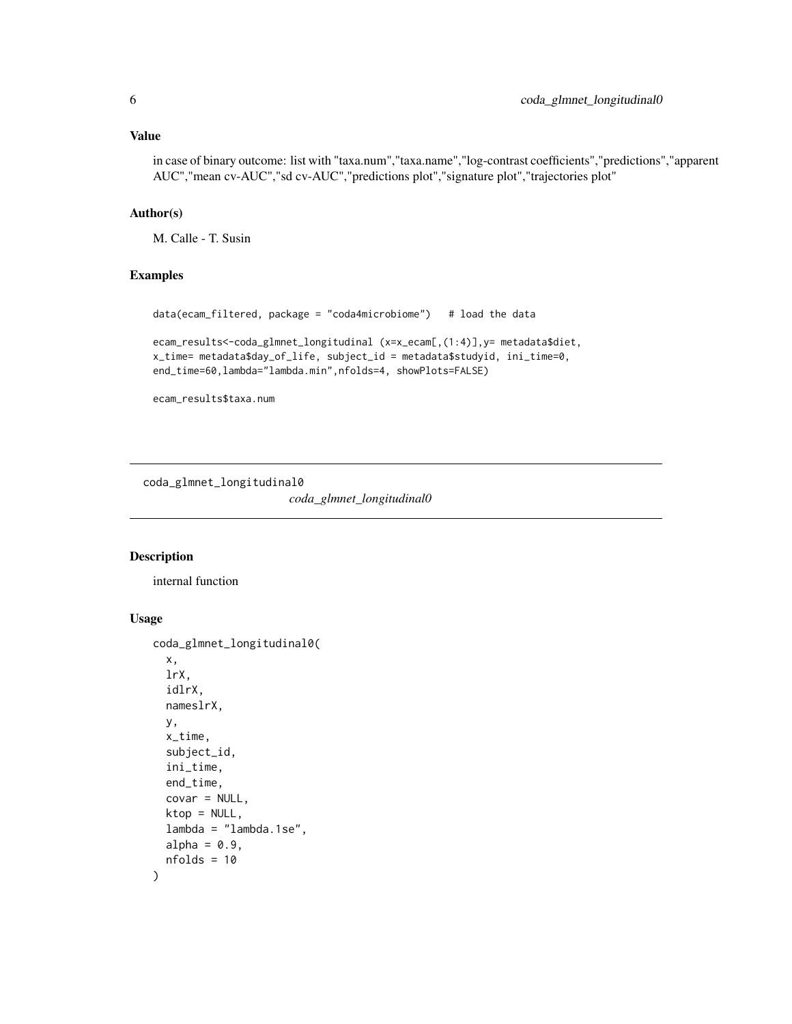#### <span id="page-5-0"></span>Value

in case of binary outcome: list with "taxa.num","taxa.name","log-contrast coefficients","predictions","apparent AUC","mean cv-AUC","sd cv-AUC","predictions plot","signature plot","trajectories plot"

# Author(s)

M. Calle - T. Susin

#### Examples

```
data(ecam_filtered, package = "coda4microbiome") # load the data
ecam_results<-coda_glmnet_longitudinal (x=x_ecam[,(1:4)],y= metadata$diet,
x_time= metadata$day_of_life, subject_id = metadata$studyid, ini_time=0,
end_time=60,lambda="lambda.min",nfolds=4, showPlots=FALSE)
```
ecam\_results\$taxa.num

coda\_glmnet\_longitudinal0

*coda\_glmnet\_longitudinal0*

#### Description

internal function

# Usage

```
coda_glmnet_longitudinal0(
 x,
  lrX,
  idlrX,
  nameslrX,
 y,
  x_time,
  subject_id,
  ini_time,
  end_time,
  covar = NULL,ktop = NULL,
  lambda = "lambda.1se",
  alpha = 0.9,
  nfolds = 10
)
```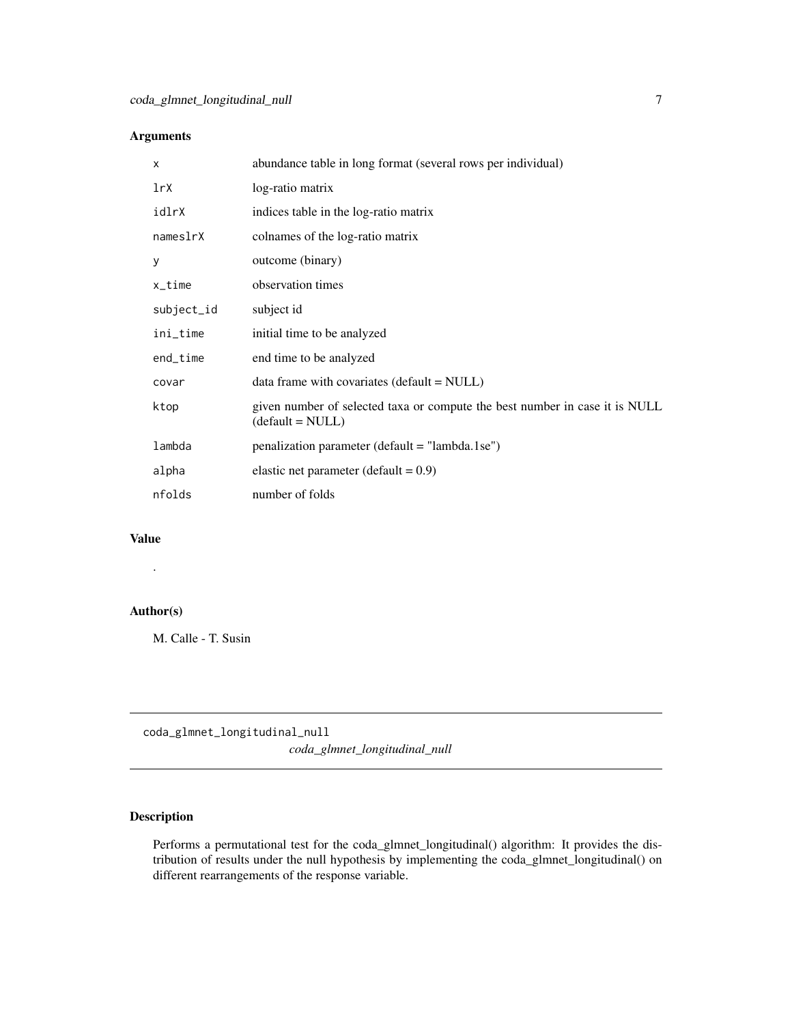# <span id="page-6-0"></span>Arguments

| X          | abundance table in long format (several rows per individual)                                      |
|------------|---------------------------------------------------------------------------------------------------|
| 1rX        | log-ratio matrix                                                                                  |
| idlrX      | indices table in the log-ratio matrix                                                             |
| nameslrX   | colnames of the log-ratio matrix                                                                  |
| У          | outcome (binary)                                                                                  |
| x_time     | observation times                                                                                 |
| subject_id | subject id                                                                                        |
| ini_time   | initial time to be analyzed                                                                       |
| end_time   | end time to be analyzed                                                                           |
| covar      | data frame with covariates ( $default = NULL$ )                                                   |
| ktop       | given number of selected taxa or compute the best number in case it is NULL<br>$(detault = NULL)$ |
| lambda     | penalization parameter (default = "lambda.1se")                                                   |
| alpha      | elastic net parameter (default = $0.9$ )                                                          |
| nfolds     | number of folds                                                                                   |
|            |                                                                                                   |

#### Value

.

# Author(s)

M. Calle - T. Susin

coda\_glmnet\_longitudinal\_null *coda\_glmnet\_longitudinal\_null*

# Description

Performs a permutational test for the coda\_glmnet\_longitudinal() algorithm: It provides the distribution of results under the null hypothesis by implementing the coda\_glmnet\_longitudinal() on different rearrangements of the response variable.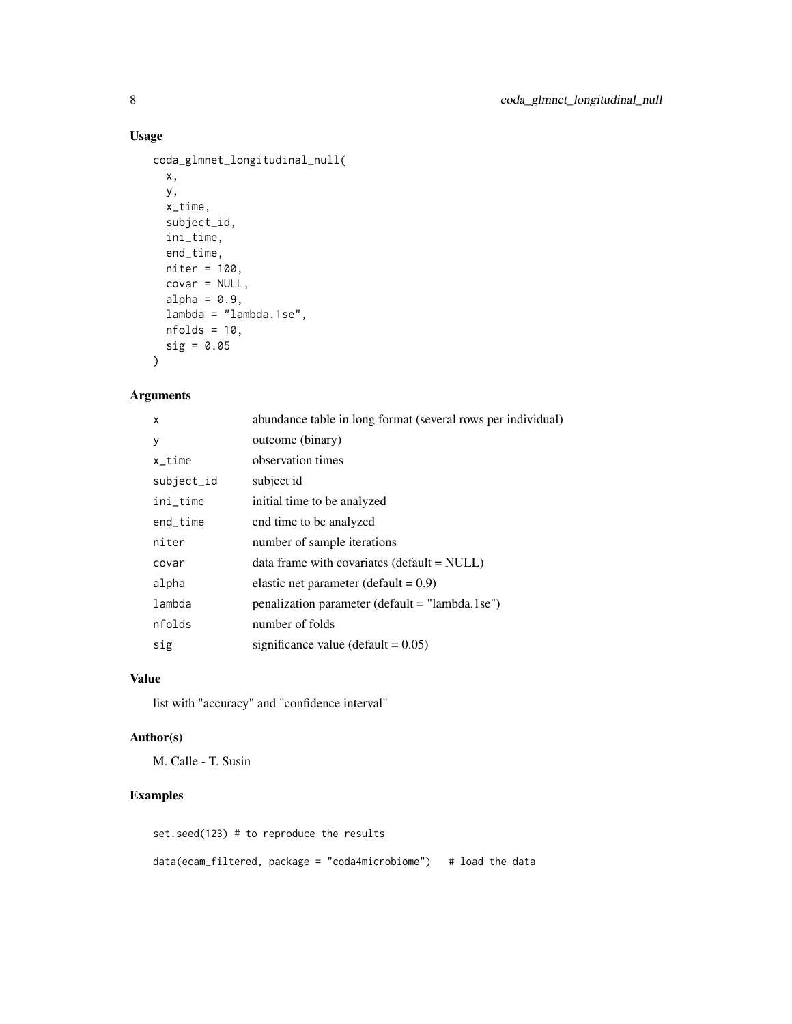# Usage

```
coda_glmnet_longitudinal_null(
  x,
 y,
 x_time,
 subject_id,
  ini_time,
 end_time,
 niter = 100,
 covar = NULL,
 alpha = 0.9,
  lambda = "lambda.1se",
 nfolds = 10,
 sig = 0.05
)
```
# Arguments

| abundance table in long format (several rows per individual) |
|--------------------------------------------------------------|
| outcome (binary)                                             |
| observation times                                            |
| subject id                                                   |
| initial time to be analyzed                                  |
| end time to be analyzed                                      |
| number of sample iterations                                  |
| data frame with covariates (default = NULL)                  |
| elastic net parameter (default = $0.9$ )                     |
| penalization parameter (default = "lambda.1se")              |
| number of folds                                              |
| significance value (default $= 0.05$ )                       |
|                                                              |

### Value

list with "accuracy" and "confidence interval"

# Author(s)

M. Calle - T. Susin

# Examples

set.seed(123) # to reproduce the results data(ecam\_filtered, package = "coda4microbiome") # load the data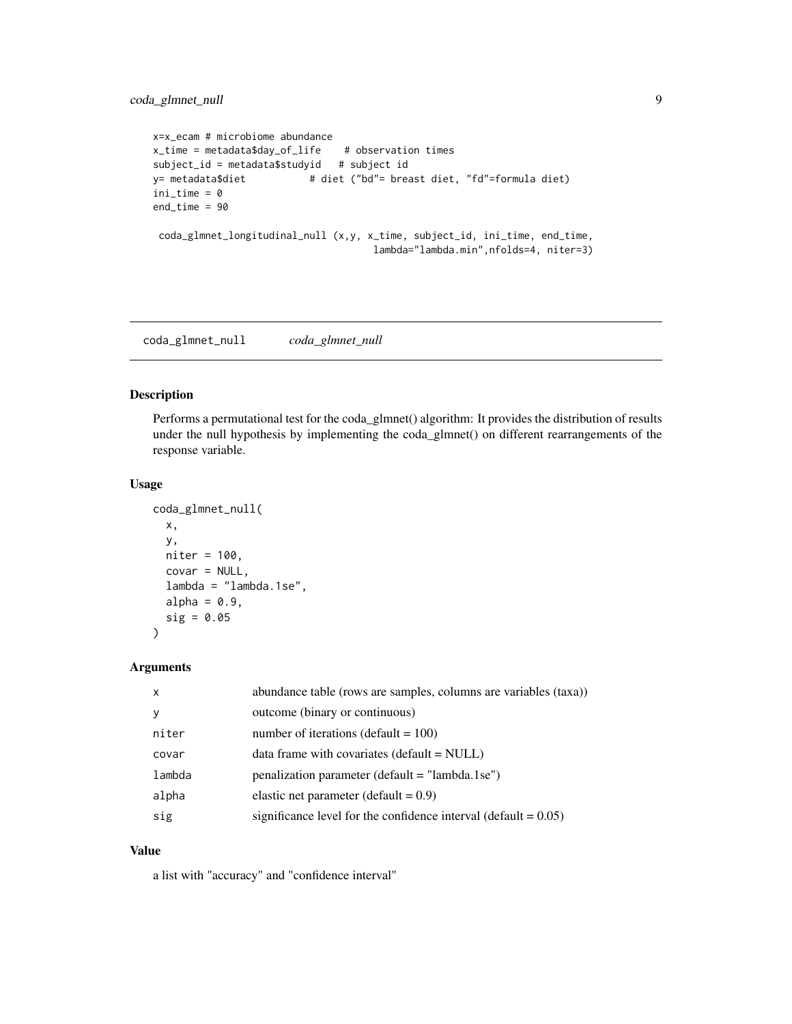```
x=x_ecam # microbiome abundance
x_time = metadata$day_of_life # observation times
subject_id = metadata$studyid # subject id
y= metadata$diet # diet ("bd"= breast diet, "fd"=formula diet)
ini_time = 0
end_time = 90
coda_glmnet_longitudinal_null (x,y, x_time, subject_id, ini_time, end_time,
                                    lambda="lambda.min",nfolds=4, niter=3)
```
coda\_glmnet\_null *coda\_glmnet\_null*

# Description

Performs a permutational test for the coda\_glmnet() algorithm: It provides the distribution of results under the null hypothesis by implementing the coda\_glmnet() on different rearrangements of the response variable.

#### Usage

```
coda_glmnet_null(
  x,
 y,
 niter = 100,
 covar = NULL,lambda = "lambda.1se",
  alpha = 0.9,
  sig = 0.05)
```
#### Arguments

| $\boldsymbol{\mathsf{x}}$ | abundance table (rows are samples, columns are variables (taxa))   |
|---------------------------|--------------------------------------------------------------------|
| v                         | outcome (binary or continuous)                                     |
| niter                     | number of iterations (default = $100$ )                            |
| covar                     | $data frame with covariates (default = NULL)$                      |
| lambda                    | $penalization parameter (default = "lambda. 1 se")$                |
| alpha                     | elastic net parameter (default = $0.9$ )                           |
| sig                       | significance level for the confidence interval (default = $0.05$ ) |

# Value

a list with "accuracy" and "confidence interval"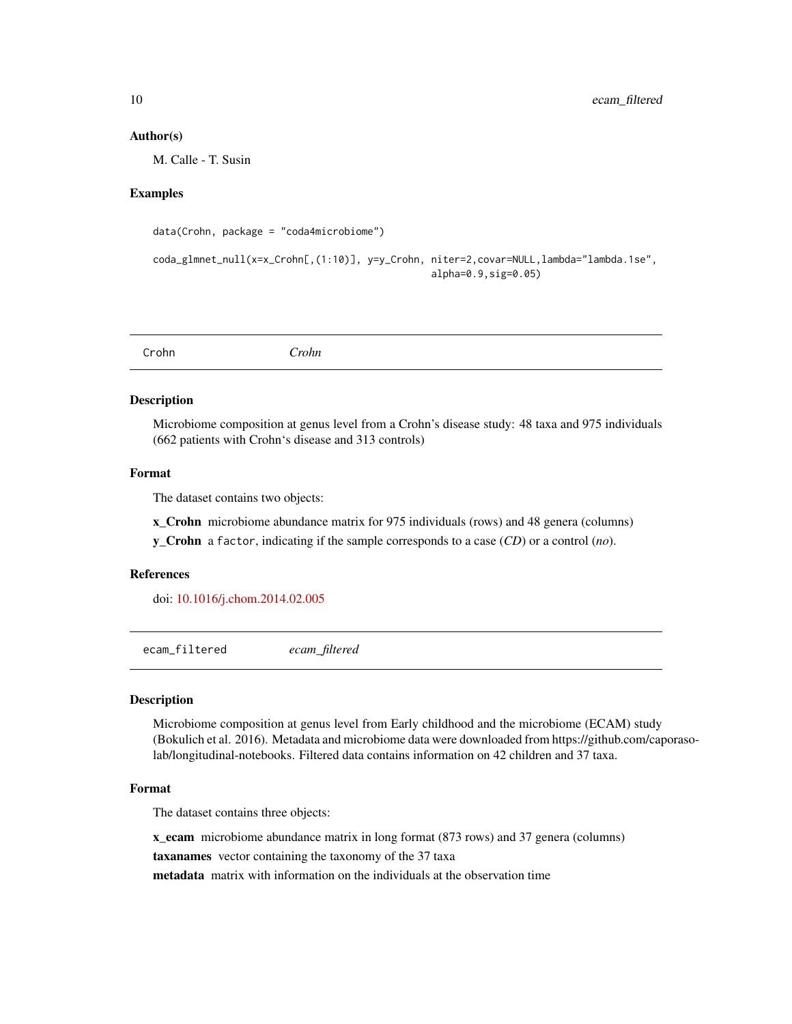#### <span id="page-9-0"></span>Author(s)

M. Calle - T. Susin

### Examples

```
data(Crohn, package = "coda4microbiome")
```

```
coda_glmnet_null(x=x_Crohn[,(1:10)], y=y_Crohn, niter=2,covar=NULL,lambda="lambda.1se",
                                                alpha=0.9,sig=0.05)
```
#### Description

Microbiome composition at genus level from a Crohn's disease study: 48 taxa and 975 individuals (662 patients with Crohn's disease and 313 controls)

#### Format

The dataset contains two objects:

x\_Crohn microbiome abundance matrix for 975 individuals (rows) and 48 genera (columns) y\_Crohn a factor, indicating if the sample corresponds to a case (*CD*) or a control (*no*).

#### References

doi: [10.1016/j.chom.2014.02.005](https://doi.org/10.1016/j.chom.2014.02.005)

ecam\_filtered *ecam\_filtered*

#### Description

Microbiome composition at genus level from Early childhood and the microbiome (ECAM) study (Bokulich et al. 2016). Metadata and microbiome data were downloaded from https://github.com/caporasolab/longitudinal-notebooks. Filtered data contains information on 42 children and 37 taxa.

#### Format

The dataset contains three objects:

x\_ecam microbiome abundance matrix in long format (873 rows) and 37 genera (columns)

taxanames vector containing the taxonomy of the 37 taxa

metadata matrix with information on the individuals at the observation time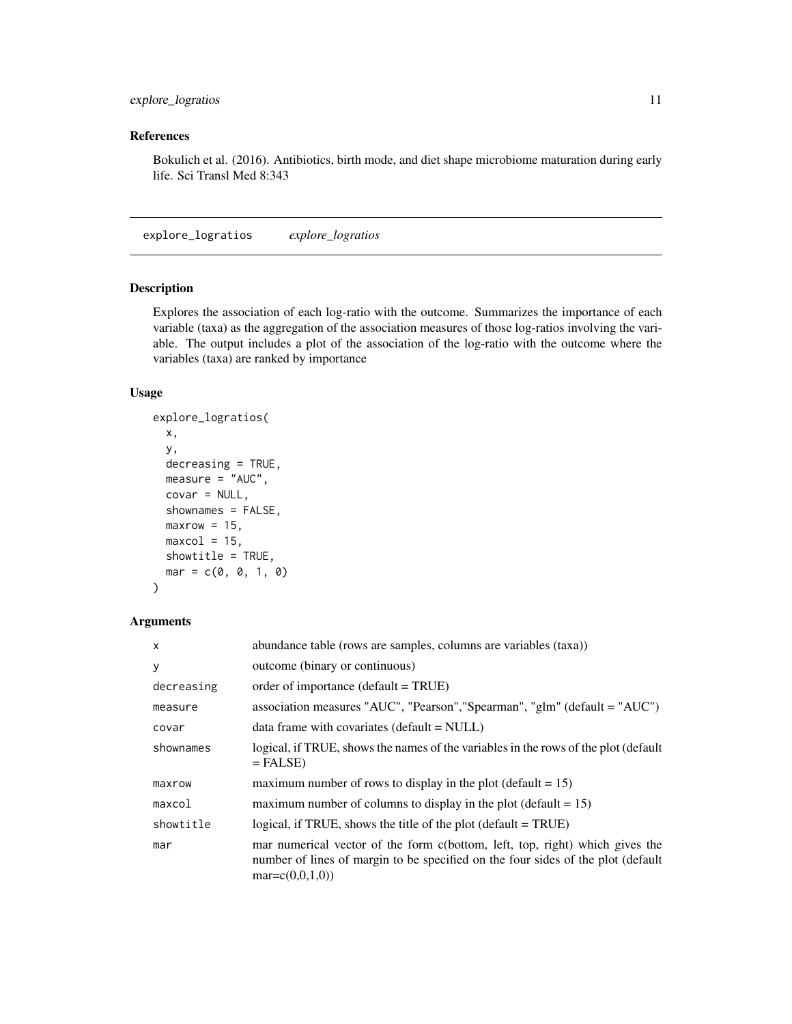# <span id="page-10-0"></span>References

Bokulich et al. (2016). Antibiotics, birth mode, and diet shape microbiome maturation during early life. Sci Transl Med 8:343

explore\_logratios *explore\_logratios*

# Description

Explores the association of each log-ratio with the outcome. Summarizes the importance of each variable (taxa) as the aggregation of the association measures of those log-ratios involving the variable. The output includes a plot of the association of the log-ratio with the outcome where the variables (taxa) are ranked by importance

#### Usage

```
explore_logratios(
 x,
 y,
 decreasing = TRUE,
 measure = "AUC",
 covar = NULL,shownames = FALSE,
 maxrow = 15,
 maxcol = 15,
 showtitle = TRUE,
 mar = c(0, 0, 1, 0))
```
#### Arguments

| $\boldsymbol{\mathsf{x}}$ | abundance table (rows are samples, columns are variables (taxa))                                                                                                                       |
|---------------------------|----------------------------------------------------------------------------------------------------------------------------------------------------------------------------------------|
| У                         | outcome (binary or continuous)                                                                                                                                                         |
| decreasing                | order of importance (default $= TRUE$ )                                                                                                                                                |
| measure                   | association measures "AUC", "Pearson", "Spearman", "glm" (default = "AUC")                                                                                                             |
| covar                     | $data frame with covariates (default = NULL)$                                                                                                                                          |
| shownames                 | logical, if TRUE, shows the names of the variables in the rows of the plot (default<br>$=$ FALSE)                                                                                      |
| maxrow                    | maximum number of rows to display in the plot (default = $15$ )                                                                                                                        |
| maxcol                    | maximum number of columns to display in the plot (default $= 15$ )                                                                                                                     |
| showtitle                 | logical, if TRUE, shows the title of the plot (default $=$ TRUE)                                                                                                                       |
| mar                       | mar numerical vector of the form c(bottom, left, top, right) which gives the<br>number of lines of margin to be specified on the four sides of the plot (default<br>$mar = c(0,0,1,0)$ |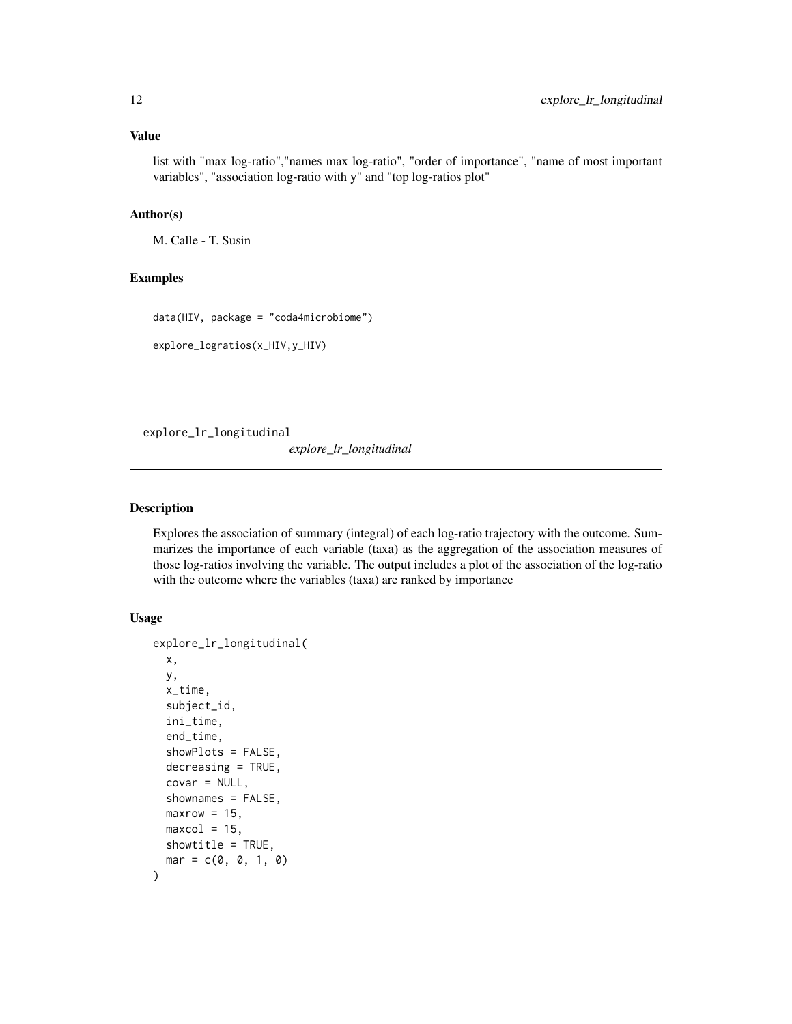#### <span id="page-11-0"></span>Value

list with "max log-ratio","names max log-ratio", "order of importance", "name of most important variables", "association log-ratio with y" and "top log-ratios plot"

#### Author(s)

M. Calle - T. Susin

# Examples

data(HIV, package = "coda4microbiome")

explore\_logratios(x\_HIV,y\_HIV)

explore\_lr\_longitudinal

*explore\_lr\_longitudinal*

#### Description

Explores the association of summary (integral) of each log-ratio trajectory with the outcome. Summarizes the importance of each variable (taxa) as the aggregation of the association measures of those log-ratios involving the variable. The output includes a plot of the association of the log-ratio with the outcome where the variables (taxa) are ranked by importance

# Usage

```
explore_lr_longitudinal(
 x,
 y,
 x_time,
  subject_id,
  ini_time,
  end_time,
  showPlots = FALSE,
  decreasing = TRUE,
  covar = NULL,
  shownames = FALSE,
 maxrow = 15,
 maxcol = 15,
 showtitle = TRUE,
  mar = c(0, 0, 1, 0))
```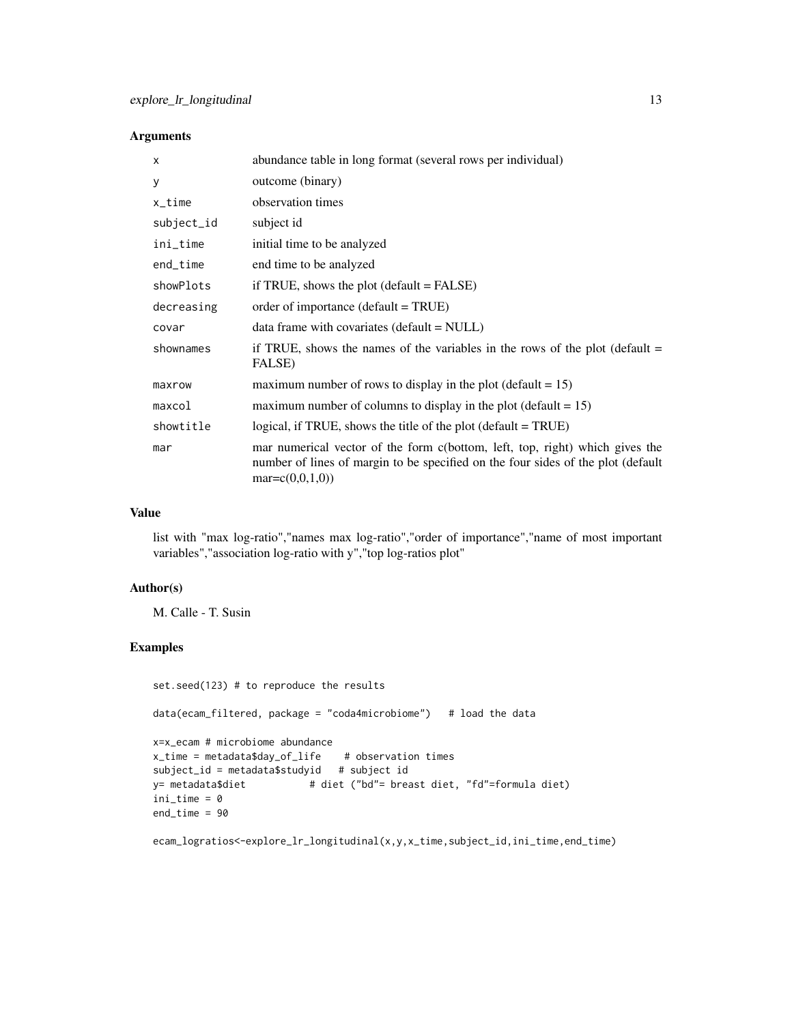### Arguments

| X          | abundance table in long format (several rows per individual)                                                                                                                           |
|------------|----------------------------------------------------------------------------------------------------------------------------------------------------------------------------------------|
| У          | outcome (binary)                                                                                                                                                                       |
| x_time     | observation times                                                                                                                                                                      |
| subject_id | subject id                                                                                                                                                                             |
| ini_time   | initial time to be analyzed                                                                                                                                                            |
| end_time   | end time to be analyzed                                                                                                                                                                |
| showPlots  | if TRUE, shows the plot $(default = FALSE)$                                                                                                                                            |
| decreasing | order of importance (default = TRUE)                                                                                                                                                   |
| covar      | $data frame with covariates (default = NULL)$                                                                                                                                          |
| shownames  | if TRUE, shows the names of the variables in the rows of the plot (default $=$<br>FALSE)                                                                                               |
| maxrow     | maximum number of rows to display in the plot (default $= 15$ )                                                                                                                        |
| maxcol     | maximum number of columns to display in the plot (default $= 15$ )                                                                                                                     |
| showtitle  | logical, if TRUE, shows the title of the plot (default $=$ TRUE)                                                                                                                       |
| mar        | mar numerical vector of the form c(bottom, left, top, right) which gives the<br>number of lines of margin to be specified on the four sides of the plot (default<br>$mar = c(0,0,1,0)$ |

# Value

list with "max log-ratio","names max log-ratio","order of importance","name of most important variables","association log-ratio with y","top log-ratios plot"

# Author(s)

M. Calle - T. Susin

# Examples

```
set.seed(123) # to reproduce the results
data(ecam_filtered, package = "coda4microbiome") # load the data
x=x_ecam # microbiome abundance
x_time = metadata$day_of_life # observation times
subject_id = metadata$studyid # subject id
y= metadata$diet # diet ("bd"= breast diet, "fd"=formula diet)
ini_time = 0end_time = 90
```
ecam\_logratios<-explore\_lr\_longitudinal(x,y,x\_time,subject\_id,ini\_time,end\_time)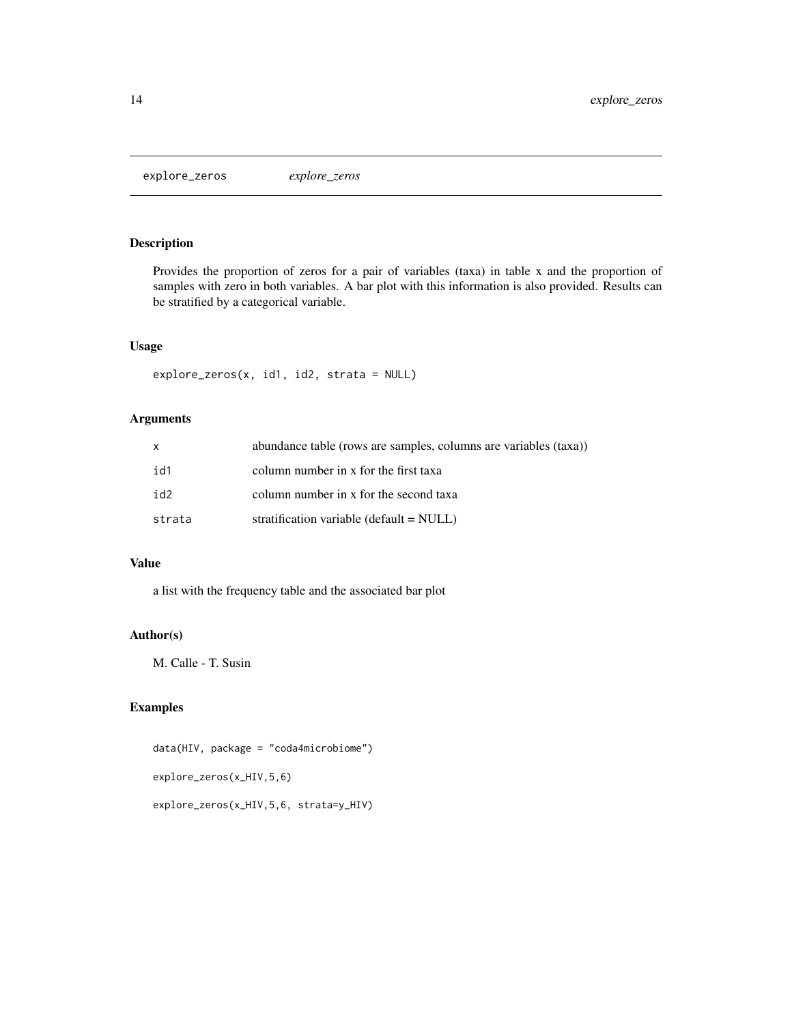<span id="page-13-0"></span>explore\_zeros *explore\_zeros*

#### Description

Provides the proportion of zeros for a pair of variables (taxa) in table x and the proportion of samples with zero in both variables. A bar plot with this information is also provided. Results can be stratified by a categorical variable.

#### Usage

```
explore_zeros(x, id1, id2, strata = NULL)
```
# Arguments

| x      | abundance table (rows are samples, columns are variables (taxa)) |
|--------|------------------------------------------------------------------|
| id1    | column number in x for the first taxa                            |
| id2    | column number in x for the second taxa                           |
| strata | stratification variable (default $=$ NULL)                       |

#### Value

a list with the frequency table and the associated bar plot

# Author(s)

M. Calle - T. Susin

# Examples

```
data(HIV, package = "coda4microbiome")
explore_zeros(x_HIV,5,6)
explore_zeros(x_HIV,5,6, strata=y_HIV)
```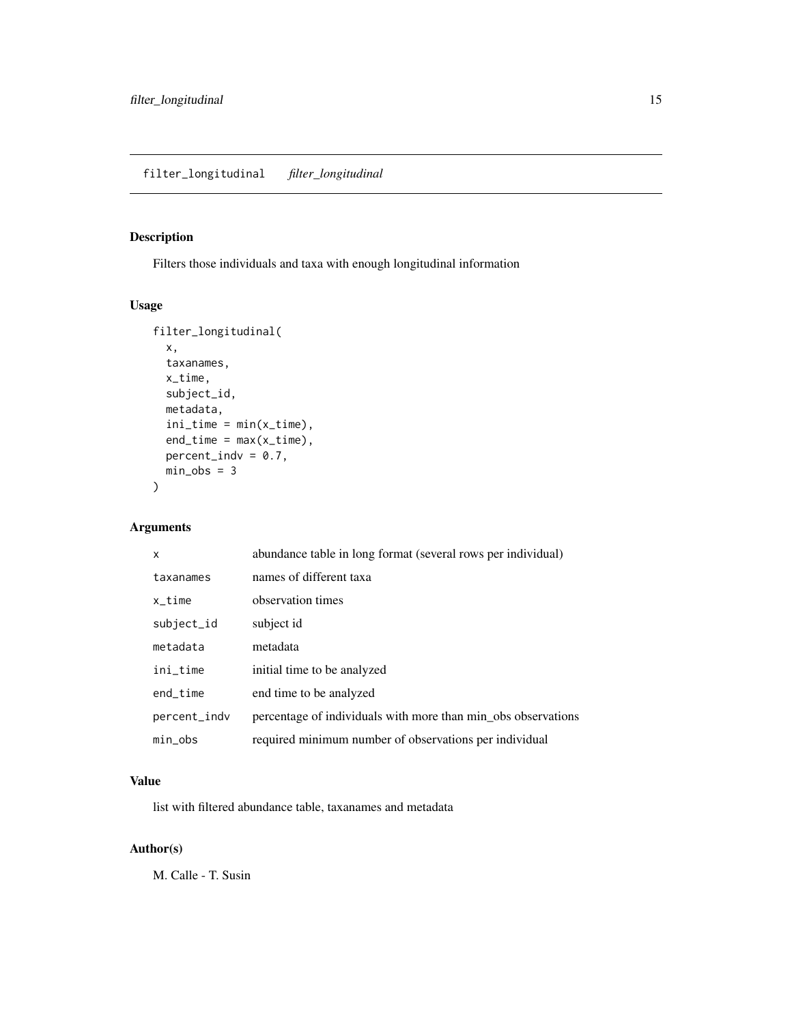# <span id="page-14-0"></span>Description

Filters those individuals and taxa with enough longitudinal information

# Usage

```
filter_longitudinal(
  x,
 taxanames,
 x_time,
 subject_id,
 metadata,
 ini_time = min(x_time),
 end_time = max(x_time),
 percent\_indv = 0.7,
 min\_obs = 3)
```
# Arguments

| X            | abundance table in long format (several rows per individual)  |
|--------------|---------------------------------------------------------------|
| taxanames    | names of different taxa                                       |
| x time       | observation times                                             |
| subject_id   | subject id                                                    |
| metadata     | metadata                                                      |
| ini_time     | initial time to be analyzed                                   |
| end time     | end time to be analyzed                                       |
| percent_indv | percentage of individuals with more than min_obs observations |
| min obs      | required minimum number of observations per individual        |

# Value

list with filtered abundance table, taxanames and metadata

# Author(s)

M. Calle - T. Susin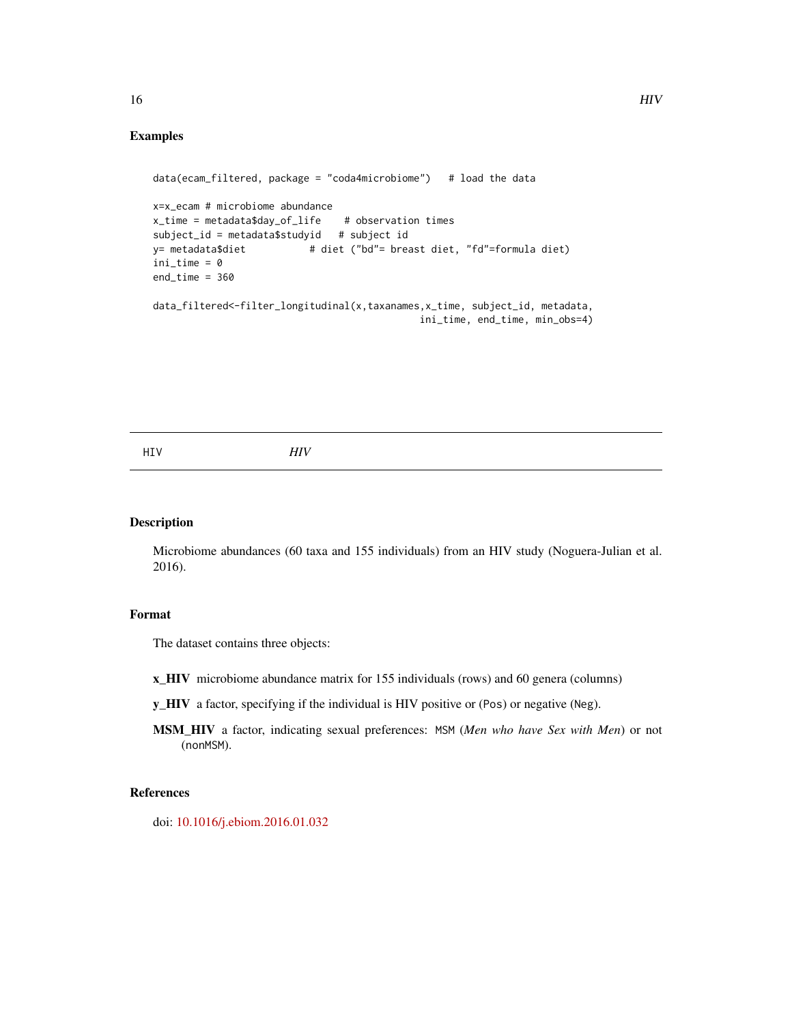### Examples

```
data(ecam_filtered, package = "coda4microbiome") # load the data
x=x_ecam # microbiome abundance
x_time = metadata$day_of_life # observation times
subject_id = metadata$studyid # subject id
y= metadata$diet # diet ("bd"= breast diet, "fd"=formula diet)
ini_time = 0end_time = 360data_filtered<-filter_longitudinal(x,taxanames,x_time, subject_id, metadata,
                                            ini_time, end_time, min_obs=4)
```
#### Description

Microbiome abundances (60 taxa and 155 individuals) from an HIV study (Noguera-Julian et al. 2016).

#### Format

The dataset contains three objects:

- x\_HIV microbiome abundance matrix for 155 individuals (rows) and 60 genera (columns)
- y\_HIV a factor, specifying if the individual is HIV positive or (Pos) or negative (Neg).
- MSM\_HIV a factor, indicating sexual preferences: MSM (*Men who have Sex with Men*) or not (nonMSM).

### References

doi: [10.1016/j.ebiom.2016.01.032](https://doi.org/10.1016/j.ebiom.2016.01.032)

<span id="page-15-0"></span>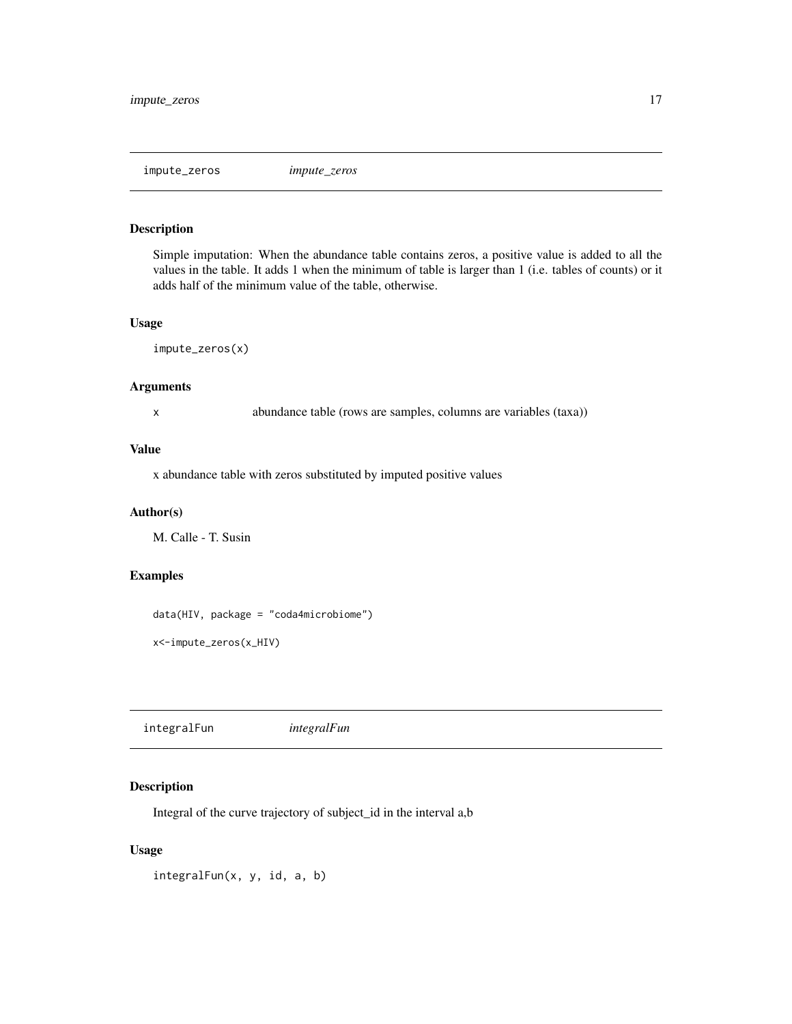<span id="page-16-0"></span>impute\_zeros *impute\_zeros*

#### Description

Simple imputation: When the abundance table contains zeros, a positive value is added to all the values in the table. It adds 1 when the minimum of table is larger than 1 (i.e. tables of counts) or it adds half of the minimum value of the table, otherwise.

#### Usage

impute\_zeros(x)

#### Arguments

x abundance table (rows are samples, columns are variables (taxa))

# Value

x abundance table with zeros substituted by imputed positive values

#### Author(s)

M. Calle - T. Susin

# Examples

```
data(HIV, package = "coda4microbiome")
```

```
x<-impute_zeros(x_HIV)
```
integralFun *integralFun*

#### Description

Integral of the curve trajectory of subject\_id in the interval a,b

# Usage

integralFun(x, y, id, a, b)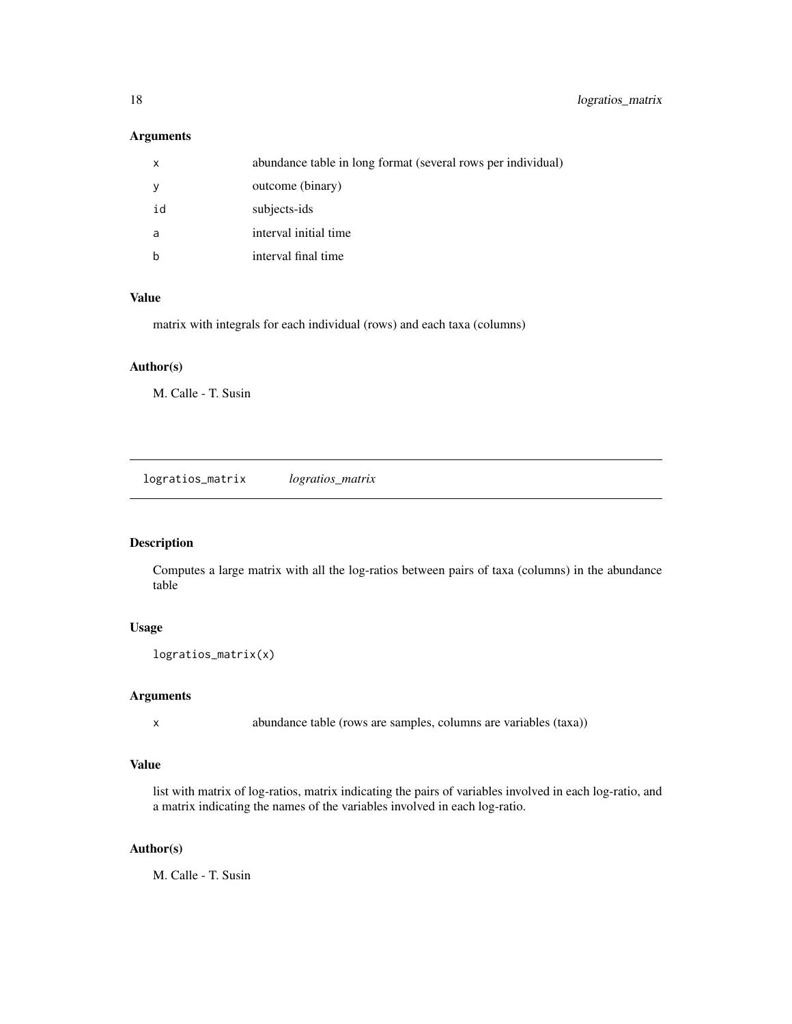# <span id="page-17-0"></span>Arguments

| x  | abundance table in long format (several rows per individual) |
|----|--------------------------------------------------------------|
| У  | outcome (binary)                                             |
| id | subjects-ids                                                 |
| a  | interval initial time                                        |
| b  | interval final time                                          |

# Value

matrix with integrals for each individual (rows) and each taxa (columns)

#### Author(s)

M. Calle - T. Susin

logratios\_matrix *logratios\_matrix*

# Description

Computes a large matrix with all the log-ratios between pairs of taxa (columns) in the abundance table

# Usage

logratios\_matrix(x)

### Arguments

x abundance table (rows are samples, columns are variables (taxa))

#### Value

list with matrix of log-ratios, matrix indicating the pairs of variables involved in each log-ratio, and a matrix indicating the names of the variables involved in each log-ratio.

#### Author(s)

M. Calle - T. Susin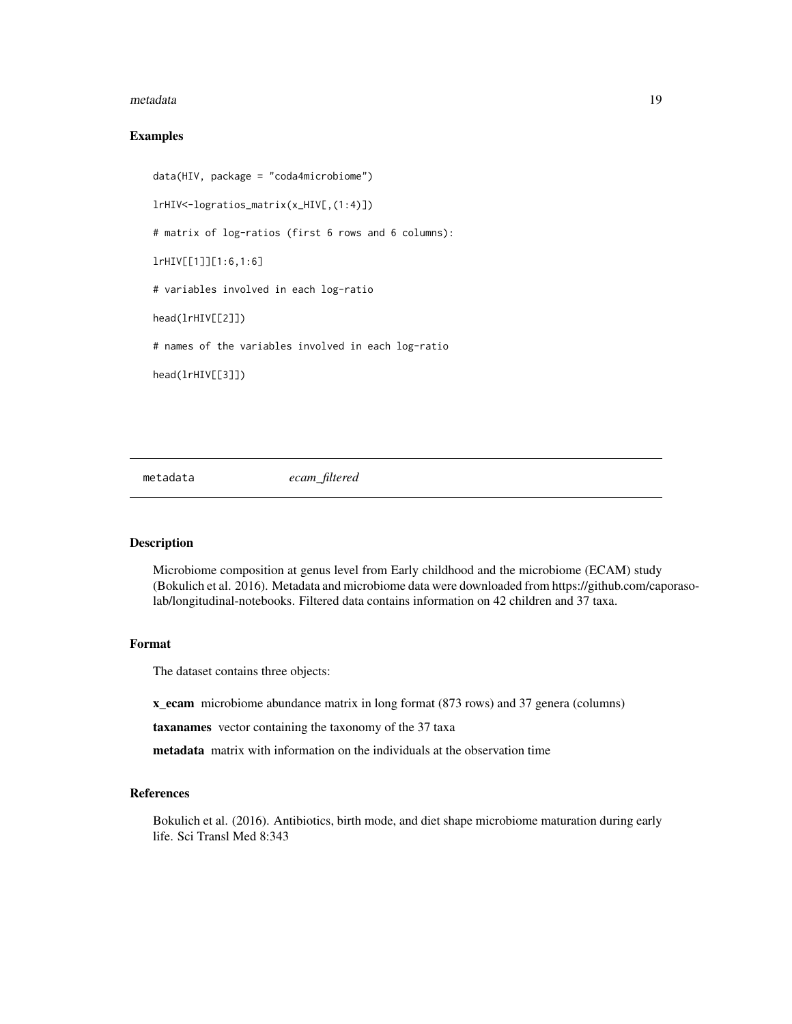#### <span id="page-18-0"></span>metadata **19**

#### Examples

```
data(HIV, package = "coda4microbiome")
lrHIV<-logratios_matrix(x_HIV[,(1:4)])
# matrix of log-ratios (first 6 rows and 6 columns):
lrHIV[[1]][1:6,1:6]
# variables involved in each log-ratio
head(lrHIV[[2]])
# names of the variables involved in each log-ratio
head(lrHIV[[3]])
```
metadata *ecam\_filtered*

#### Description

Microbiome composition at genus level from Early childhood and the microbiome (ECAM) study (Bokulich et al. 2016). Metadata and microbiome data were downloaded from https://github.com/caporasolab/longitudinal-notebooks. Filtered data contains information on 42 children and 37 taxa.

#### Format

The dataset contains three objects:

x\_ecam microbiome abundance matrix in long format (873 rows) and 37 genera (columns)

taxanames vector containing the taxonomy of the 37 taxa

metadata matrix with information on the individuals at the observation time

#### References

Bokulich et al. (2016). Antibiotics, birth mode, and diet shape microbiome maturation during early life. Sci Transl Med 8:343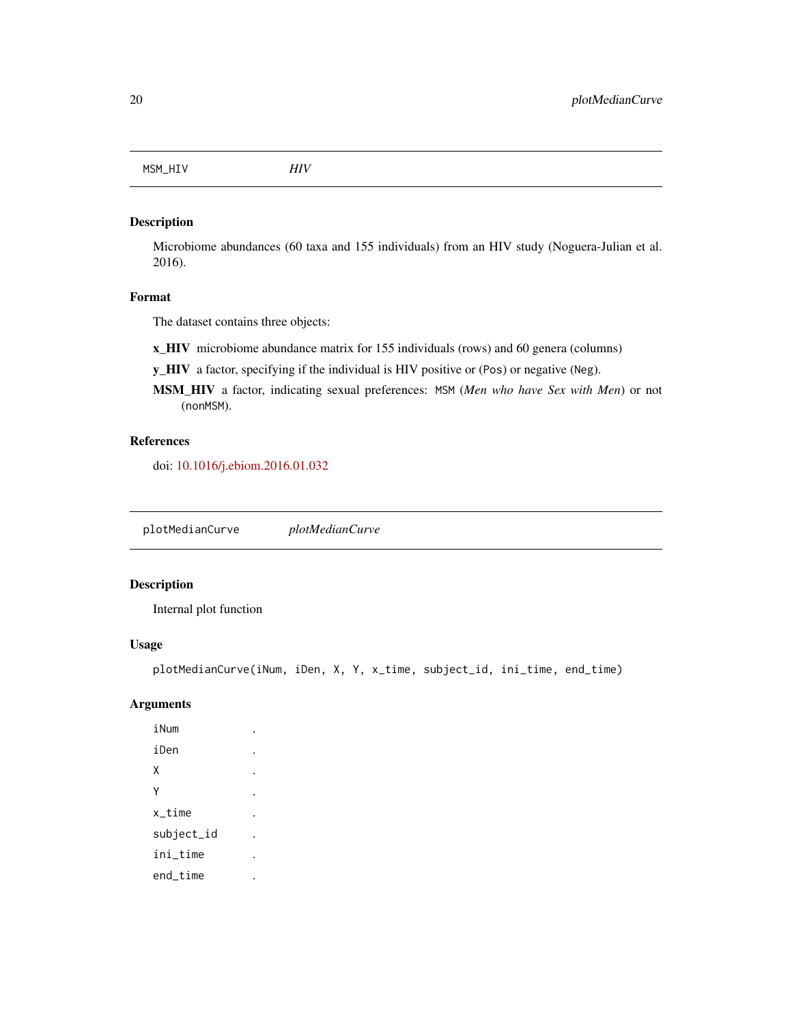<span id="page-19-0"></span>MSM\_HIV *HIV*

### Description

Microbiome abundances (60 taxa and 155 individuals) from an HIV study (Noguera-Julian et al. 2016).

#### Format

The dataset contains three objects:

x\_HIV microbiome abundance matrix for 155 individuals (rows) and 60 genera (columns)

y\_HIV a factor, specifying if the individual is HIV positive or (Pos) or negative (Neg).

MSM\_HIV a factor, indicating sexual preferences: MSM (*Men who have Sex with Men*) or not (nonMSM).

# References

doi: [10.1016/j.ebiom.2016.01.032](https://doi.org/10.1016/j.ebiom.2016.01.032)

plotMedianCurve *plotMedianCurve*

### Description

Internal plot function

#### Usage

plotMedianCurve(iNum, iDen, X, Y, x\_time, subject\_id, ini\_time, end\_time)

# Arguments

iNum iDen .  $X \qquad \qquad \qquad .$ Y . x\_time . subject\_id . ini\_time . end\_time .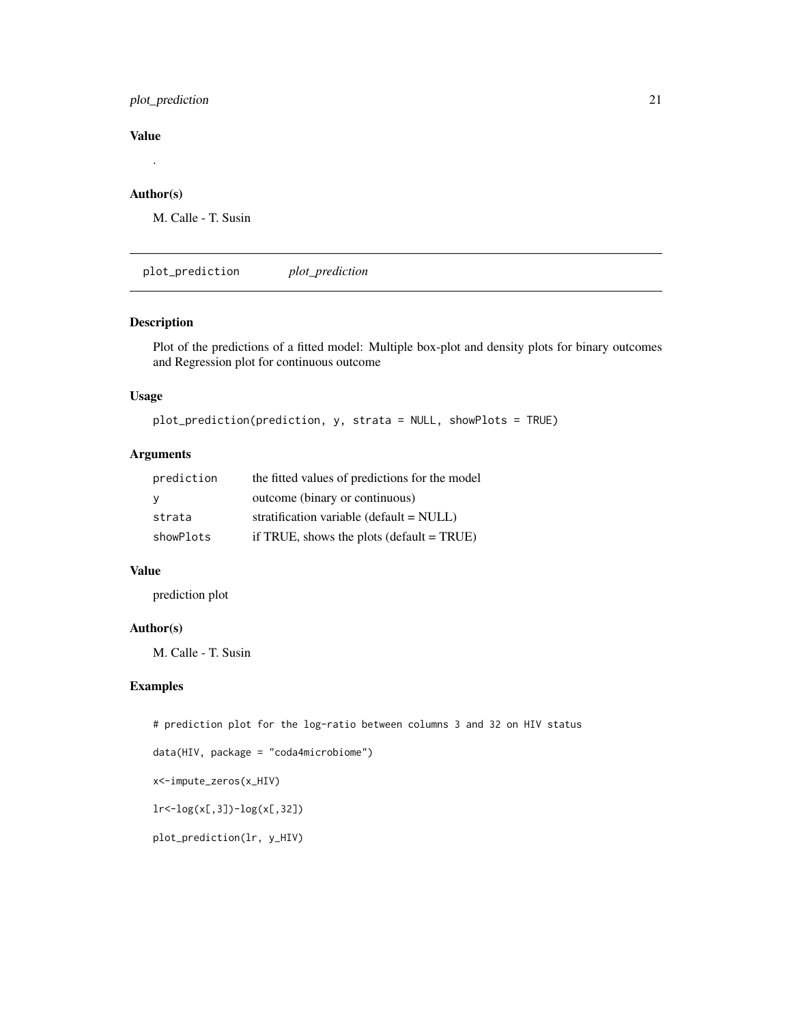# <span id="page-20-0"></span>plot\_prediction 21

# Value

# .

# Author(s)

M. Calle - T. Susin

plot\_prediction *plot\_prediction*

#### Description

Plot of the predictions of a fitted model: Multiple box-plot and density plots for binary outcomes and Regression plot for continuous outcome

#### Usage

```
plot_prediction(prediction, y, strata = NULL, showPlots = TRUE)
```
# Arguments

| prediction | the fitted values of predictions for the model |
|------------|------------------------------------------------|
| - Y        | outcome (binary or continuous)                 |
| strata     | stratification variable ( $default = NULL$ )   |
| showPlots  | if TRUE, shows the plots $(detault = TRUE)$    |

# Value

prediction plot

#### Author(s)

M. Calle - T. Susin

# Examples

# prediction plot for the log-ratio between columns 3 and 32 on HIV status

```
data(HIV, package = "coda4microbiome")
```
x<-impute\_zeros(x\_HIV)

lr<-log(x[,3])-log(x[,32])

plot\_prediction(lr, y\_HIV)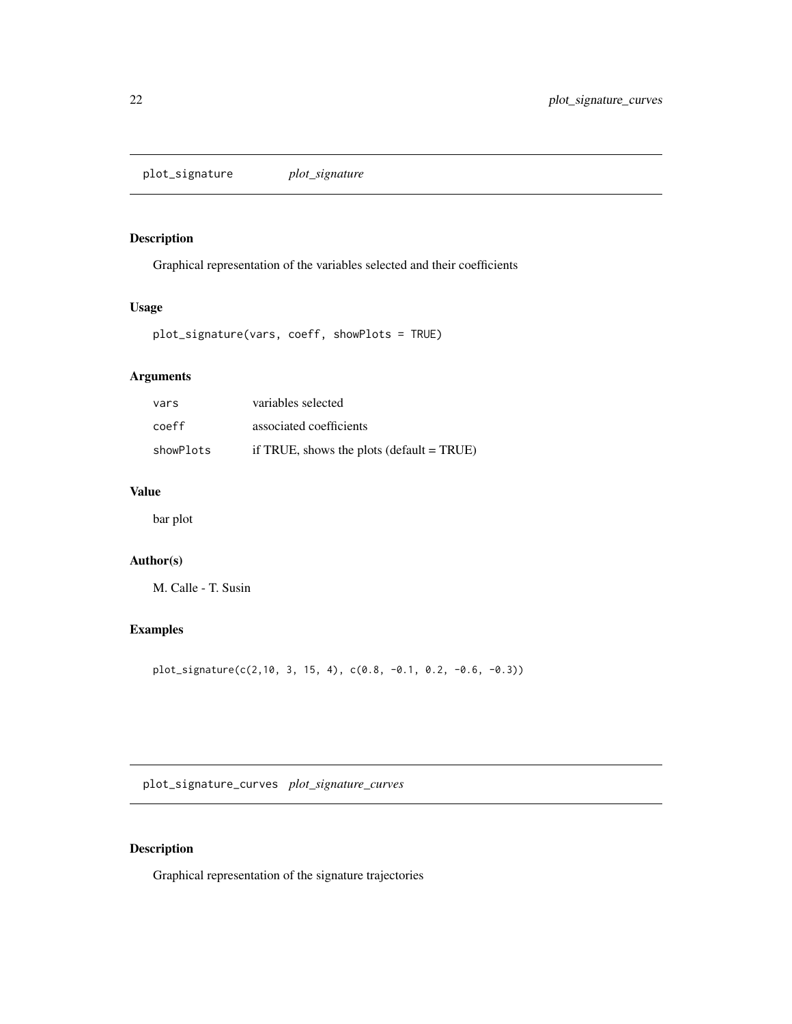<span id="page-21-0"></span>plot\_signature *plot\_signature*

# Description

Graphical representation of the variables selected and their coefficients

# Usage

```
plot_signature(vars, coeff, showPlots = TRUE)
```
# Arguments

| vars      | variables selected                                        |
|-----------|-----------------------------------------------------------|
| coeff     | associated coefficients                                   |
| showPlots | if TRUE, shows the plots $(\text{default} = \text{TRUE})$ |

# Value

bar plot

# Author(s)

M. Calle - T. Susin

# Examples

plot\_signature(c(2,10, 3, 15, 4), c(0.8, -0.1, 0.2, -0.6, -0.3))

plot\_signature\_curves *plot\_signature\_curves*

# Description

Graphical representation of the signature trajectories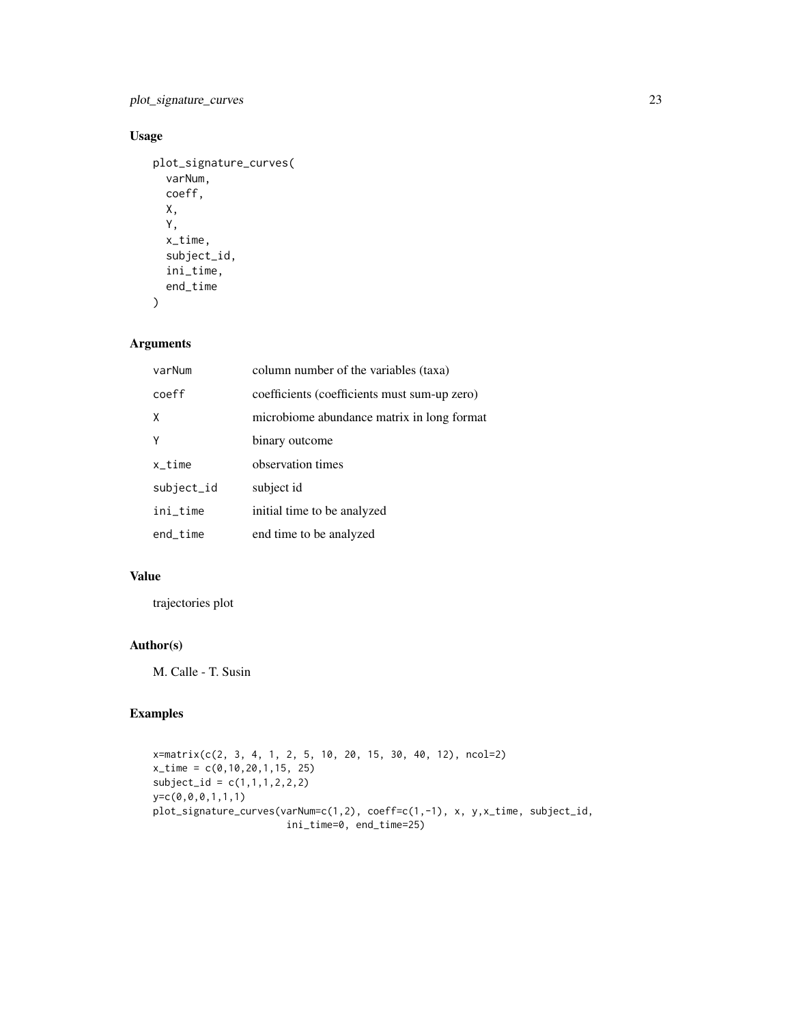plot\_signature\_curves 23

# Usage

```
plot_signature_curves(
 varNum,
 coeff,
 X,
  Y,
 x_time,
 subject_id,
 ini_time,
 end_time
)
```
# Arguments

| varNum      | column number of the variables (taxa)        |
|-------------|----------------------------------------------|
| coeff       | coefficients (coefficients must sum-up zero) |
| X           | microbiome abundance matrix in long format   |
| Υ           | binary outcome                               |
| $x_t$ ime   | observation times                            |
| subject_id  | subject id                                   |
| ini_time    | initial time to be analyzed                  |
| $end$ _time | end time to be analyzed                      |

# Value

trajectories plot

# Author(s)

M. Calle - T. Susin

# Examples

```
x=matrix(c(2, 3, 4, 1, 2, 5, 10, 20, 15, 30, 40, 12), ncol=2)
x_time = c(0,10,20,1,15, 25)
subject_id = c(1,1,1,2,2,2)y=c(0,0,0,1,1,1)
plot_signature_curves(varNum=c(1,2), coeff=c(1,-1), x, y,x_time, subject_id,
                      ini_time=0, end_time=25)
```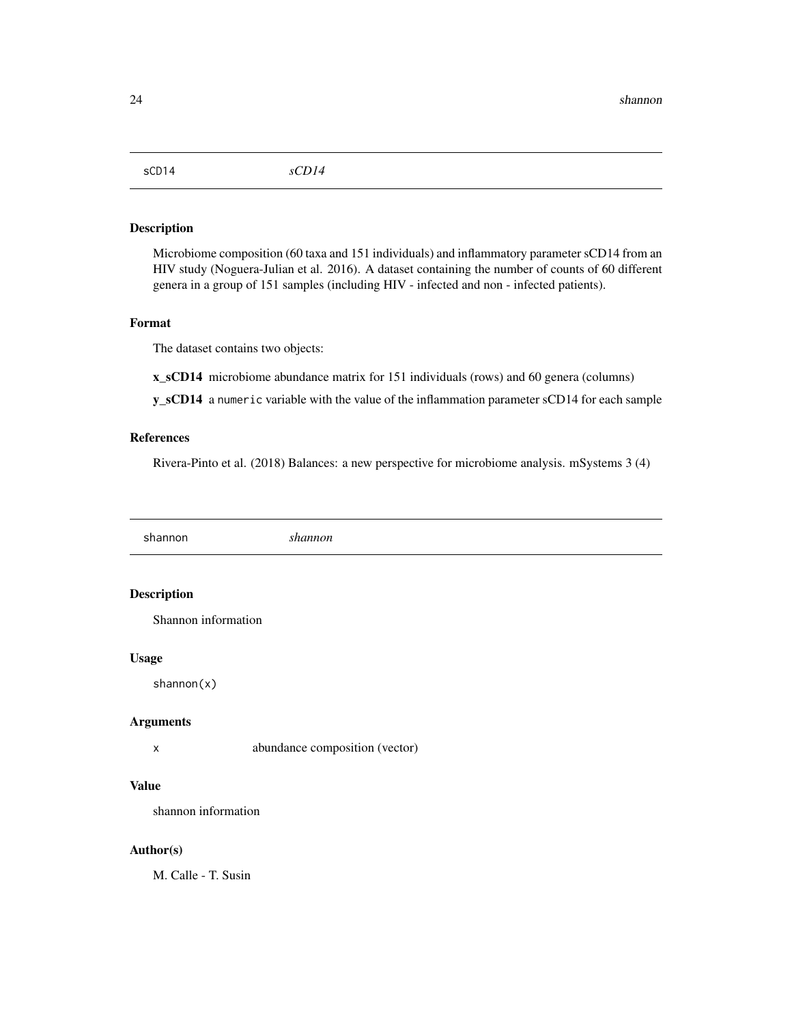<span id="page-23-0"></span>sCD14 *sCD14*

### Description

Microbiome composition (60 taxa and 151 individuals) and inflammatory parameter sCD14 from an HIV study (Noguera-Julian et al. 2016). A dataset containing the number of counts of 60 different genera in a group of 151 samples (including HIV - infected and non - infected patients).

#### Format

The dataset contains two objects:

x\_sCD14 microbiome abundance matrix for 151 individuals (rows) and 60 genera (columns)

y\_sCD14 a numeric variable with the value of the inflammation parameter sCD14 for each sample

# References

Rivera-Pinto et al. (2018) Balances: a new perspective for microbiome analysis. mSystems 3 (4)

shannon *shannon*

# Description

Shannon information

#### Usage

shannon(x)

#### Arguments

x abundance composition (vector)

# Value

shannon information

#### Author(s)

M. Calle - T. Susin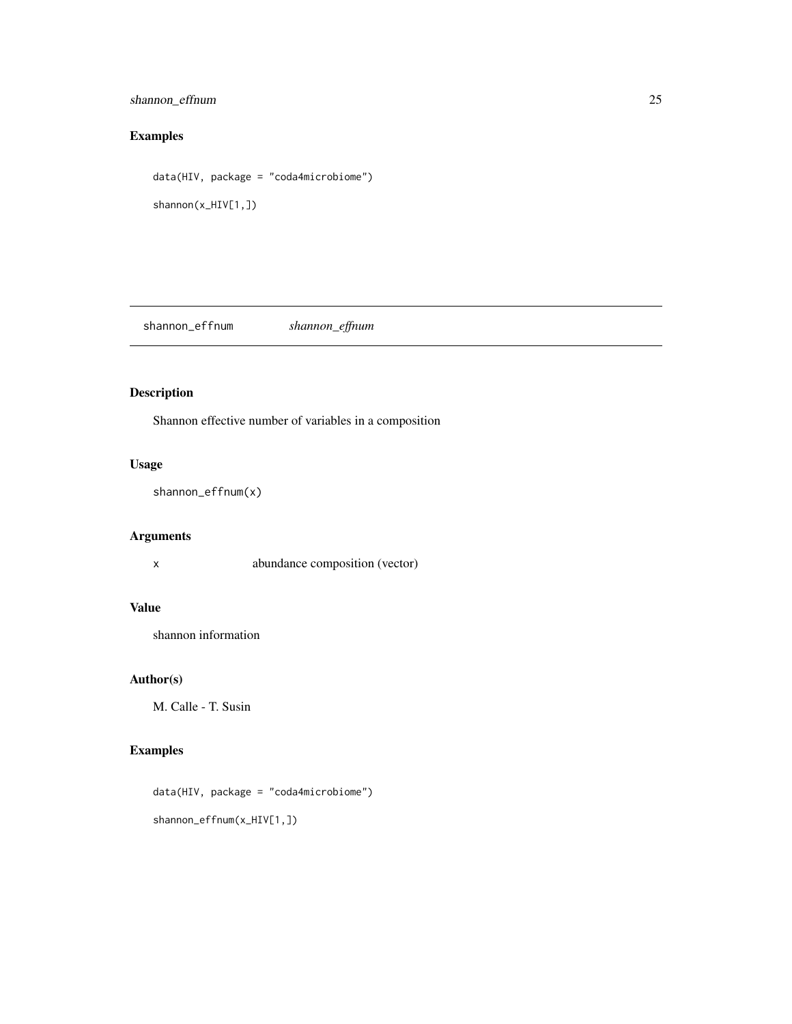# <span id="page-24-0"></span>shannon\_effnum 25

# Examples

data(HIV, package = "coda4microbiome") shannon(x\_HIV[1,])

shannon\_effnum *shannon\_effnum*

# Description

Shannon effective number of variables in a composition

# Usage

shannon\_effnum(x)

# Arguments

x abundance composition (vector)

# Value

shannon information

# Author(s)

M. Calle - T. Susin

# Examples

data(HIV, package = "coda4microbiome") shannon\_effnum(x\_HIV[1,])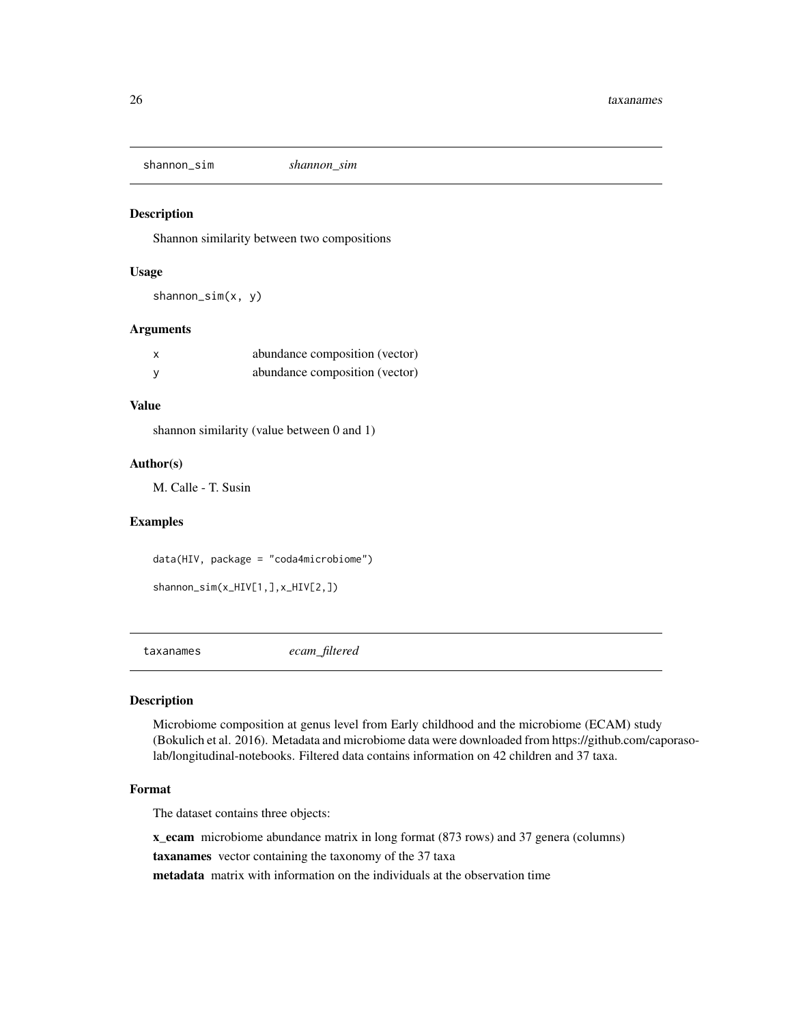<span id="page-25-0"></span>shannon\_sim *shannon\_sim*

# Description

Shannon similarity between two compositions

#### Usage

shannon\_sim(x, y)

#### Arguments

| abundance composition (vector) |
|--------------------------------|
| abundance composition (vector) |

# Value

shannon similarity (value between 0 and 1)

#### Author(s)

M. Calle - T. Susin

#### Examples

data(HIV, package = "coda4microbiome")

```
shannon_sim(x_HIV[1,],x_HIV[2,])
```
taxanames *ecam\_filtered*

#### Description

Microbiome composition at genus level from Early childhood and the microbiome (ECAM) study (Bokulich et al. 2016). Metadata and microbiome data were downloaded from https://github.com/caporasolab/longitudinal-notebooks. Filtered data contains information on 42 children and 37 taxa.

#### Format

The dataset contains three objects:

x\_ecam microbiome abundance matrix in long format (873 rows) and 37 genera (columns)

taxanames vector containing the taxonomy of the 37 taxa

metadata matrix with information on the individuals at the observation time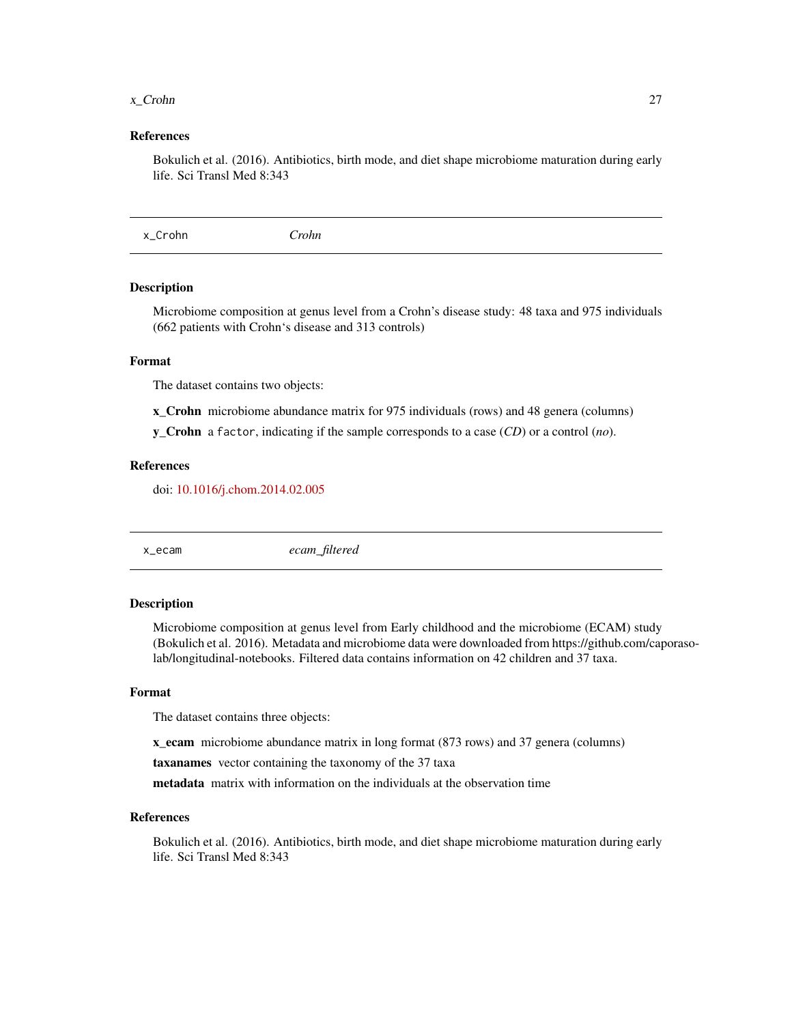#### <span id="page-26-0"></span>x\_Crohn 27

#### References

Bokulich et al. (2016). Antibiotics, birth mode, and diet shape microbiome maturation during early life. Sci Transl Med 8:343

x\_Crohn *Crohn*

#### Description

Microbiome composition at genus level from a Crohn's disease study: 48 taxa and 975 individuals (662 patients with Crohn's disease and 313 controls)

#### Format

The dataset contains two objects:

- x\_Crohn microbiome abundance matrix for 975 individuals (rows) and 48 genera (columns)
- y\_Crohn a factor, indicating if the sample corresponds to a case (*CD*) or a control (*no*).

#### References

doi: [10.1016/j.chom.2014.02.005](https://doi.org/10.1016/j.chom.2014.02.005)

x\_ecam *ecam\_filtered*

#### Description

Microbiome composition at genus level from Early childhood and the microbiome (ECAM) study (Bokulich et al. 2016). Metadata and microbiome data were downloaded from https://github.com/caporasolab/longitudinal-notebooks. Filtered data contains information on 42 children and 37 taxa.

#### Format

The dataset contains three objects:

x\_ecam microbiome abundance matrix in long format (873 rows) and 37 genera (columns)

taxanames vector containing the taxonomy of the 37 taxa

metadata matrix with information on the individuals at the observation time

#### References

Bokulich et al. (2016). Antibiotics, birth mode, and diet shape microbiome maturation during early life. Sci Transl Med 8:343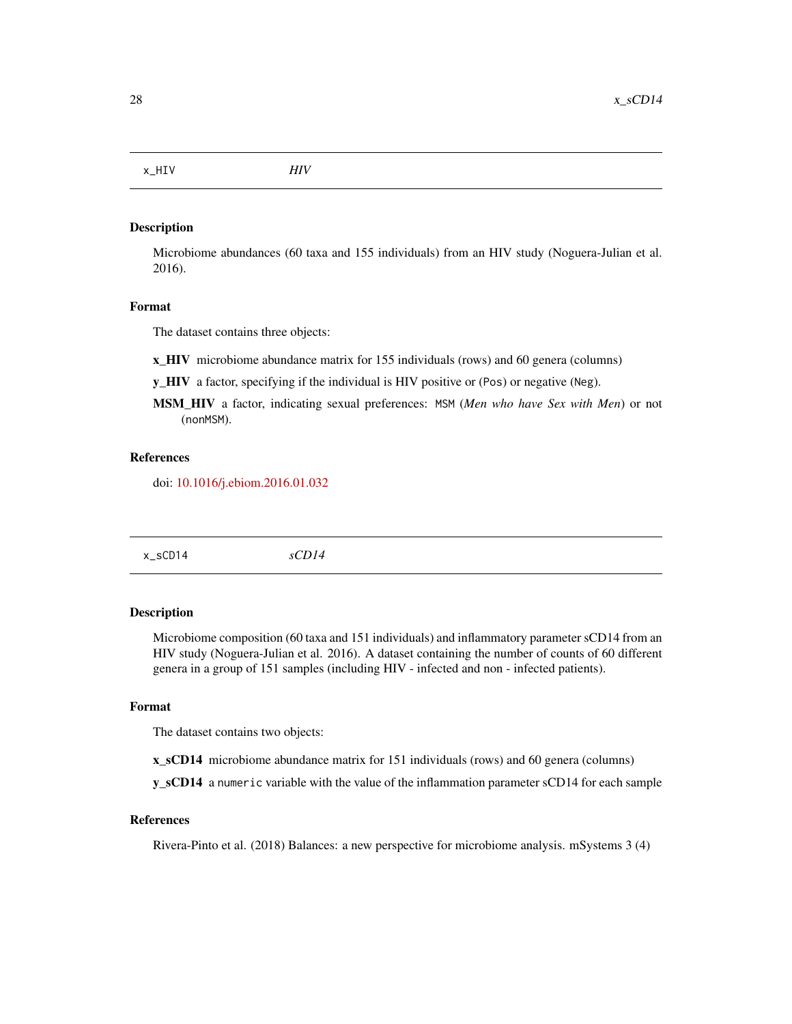<span id="page-27-0"></span>x\_HIV *HIV*

# Description

Microbiome abundances (60 taxa and 155 individuals) from an HIV study (Noguera-Julian et al. 2016).

# Format

The dataset contains three objects:

x\_HIV microbiome abundance matrix for 155 individuals (rows) and 60 genera (columns)

- y\_HIV a factor, specifying if the individual is HIV positive or (Pos) or negative (Neg).
- MSM\_HIV a factor, indicating sexual preferences: MSM (*Men who have Sex with Men*) or not (nonMSM).

#### References

doi: [10.1016/j.ebiom.2016.01.032](https://doi.org/10.1016/j.ebiom.2016.01.032)

| sCD14<br>x_sCD14 |
|------------------|
|------------------|

# Description

Microbiome composition (60 taxa and 151 individuals) and inflammatory parameter sCD14 from an HIV study (Noguera-Julian et al. 2016). A dataset containing the number of counts of 60 different genera in a group of 151 samples (including HIV - infected and non - infected patients).

#### Format

The dataset contains two objects:

x\_sCD14 microbiome abundance matrix for 151 individuals (rows) and 60 genera (columns)

y\_sCD14 a numeric variable with the value of the inflammation parameter sCD14 for each sample

#### References

Rivera-Pinto et al. (2018) Balances: a new perspective for microbiome analysis. mSystems 3 (4)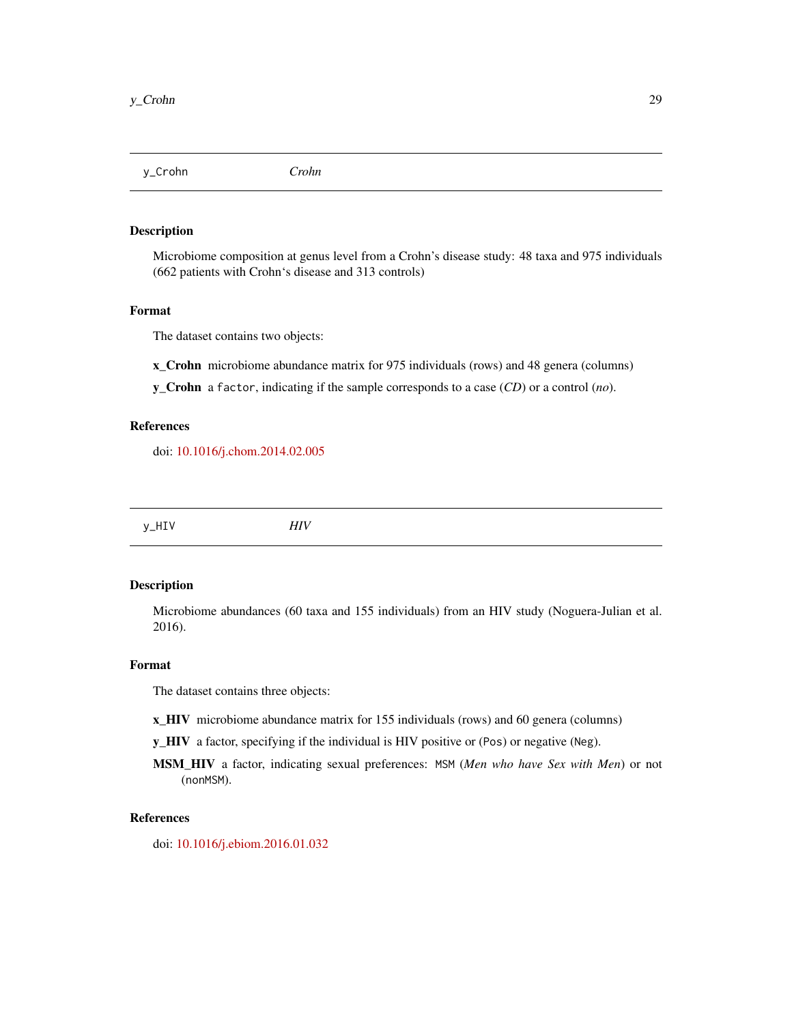<span id="page-28-0"></span>y\_Crohn *Crohn*

# Description

Microbiome composition at genus level from a Crohn's disease study: 48 taxa and 975 individuals (662 patients with Crohn's disease and 313 controls)

#### Format

The dataset contains two objects:

x\_Crohn microbiome abundance matrix for 975 individuals (rows) and 48 genera (columns)

y\_Crohn a factor, indicating if the sample corresponds to a case (*CD*) or a control (*no*).

# References

doi: [10.1016/j.chom.2014.02.005](https://doi.org/10.1016/j.chom.2014.02.005)

y\_HIV *HIV*

# Description

Microbiome abundances (60 taxa and 155 individuals) from an HIV study (Noguera-Julian et al. 2016).

#### Format

The dataset contains three objects:

- x\_HIV microbiome abundance matrix for 155 individuals (rows) and 60 genera (columns)
- y\_HIV a factor, specifying if the individual is HIV positive or (Pos) or negative (Neg).
- MSM\_HIV a factor, indicating sexual preferences: MSM (*Men who have Sex with Men*) or not (nonMSM).

#### References

doi: [10.1016/j.ebiom.2016.01.032](https://doi.org/10.1016/j.ebiom.2016.01.032)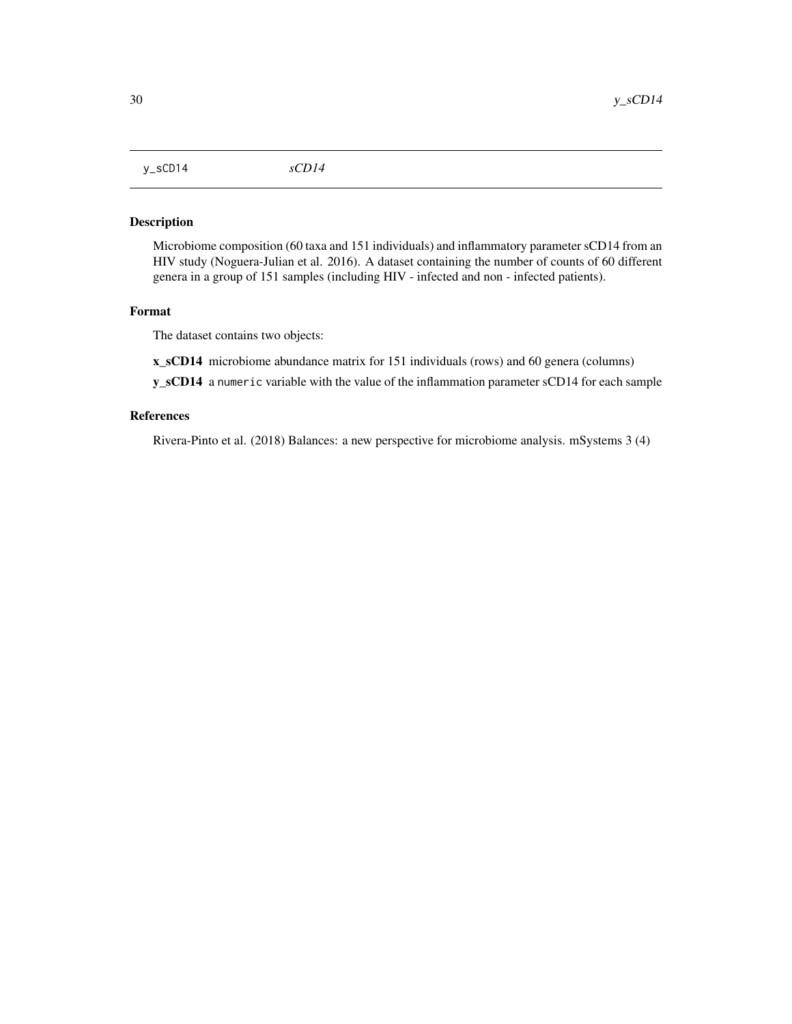<span id="page-29-0"></span>y\_sCD14 *sCD14*

## Description

Microbiome composition (60 taxa and 151 individuals) and inflammatory parameter sCD14 from an HIV study (Noguera-Julian et al. 2016). A dataset containing the number of counts of 60 different genera in a group of 151 samples (including HIV - infected and non - infected patients).

#### Format

The dataset contains two objects:

x\_sCD14 microbiome abundance matrix for 151 individuals (rows) and 60 genera (columns)

y\_sCD14 a numeric variable with the value of the inflammation parameter sCD14 for each sample

#### References

Rivera-Pinto et al. (2018) Balances: a new perspective for microbiome analysis. mSystems 3 (4)